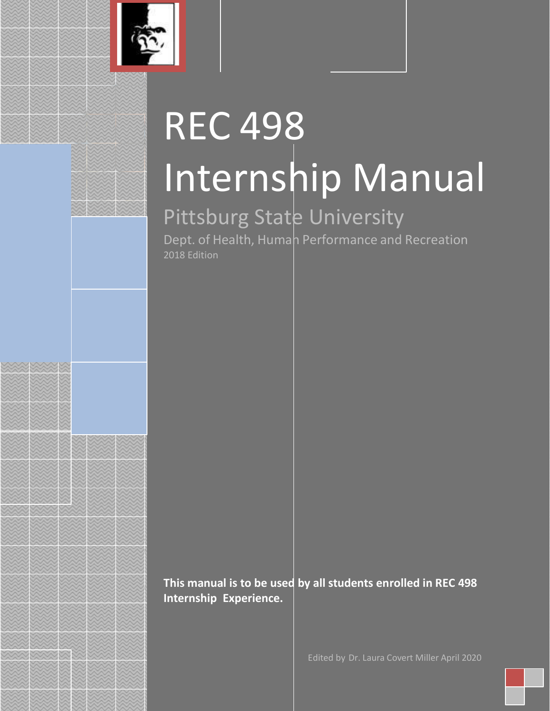

 $x_0 = x_0$ 

oncerned.

# REC 498 Internship Manual

# Pittsburg State University Dept. of Health, Human Performance and Recreation 2018 Edition

e of this manual to provide those involved with student internship

experience is meant to offer the student and student and student and student and student and student and student nthesize the theories, philosophy, concepts and ideas that have been is point in a student's academic career. The experience involves not

ents. The manual will be updated as needed to maintain the internship **This manual is to be used by all students enrolled in REC 498 Internship Experience.**

supervisors, and faculty. Incorporated in the manual are concepts and ous manuals used in the department but it was updated significantly in

*i* Edited by Dr. Laura Covert Miller April 2020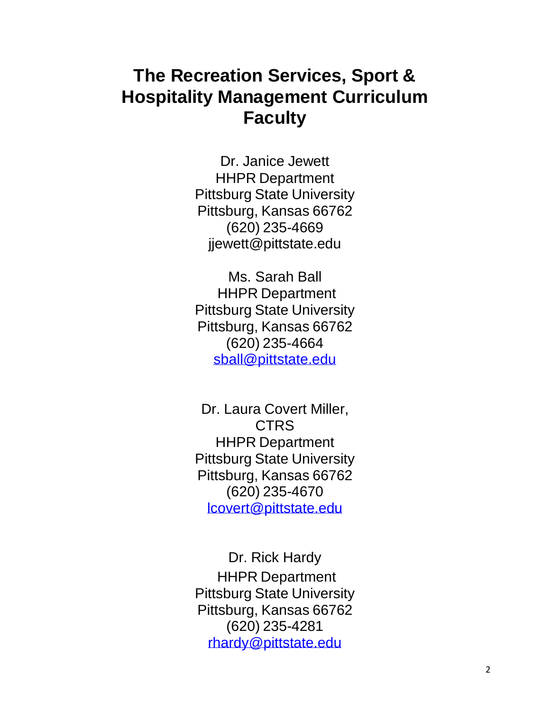# **The Recreation Services, Sport & Hospitality Management Curriculum Faculty**

Dr. Janice Jewett HHPR Department Pittsburg State University Pittsburg, Kansas 66762 (620) 235-4669 [jjewett@pittstate.edu](mailto:jjewett@pittstate.edu)

Ms. Sarah Ball HHPR Department Pittsburg State University Pittsburg, Kansas 66762 (620) 235-4664 [sball@pittstate.edu](mailto:sball@pittstate.edu)

Dr. Laura Covert Miller, **CTRS** HHPR Department Pittsburg State University Pittsburg, Kansas 66762 (620) 235-4670 [lcovert@pittstate.edu](mailto:lcovert@pittstate.edu)

Dr. Rick Hardy HHPR Department Pittsburg State University Pittsburg, Kansas 66762 (620) 235-4281 [rhardy@pittstate.edu](mailto:rhardy@pittstate.edu)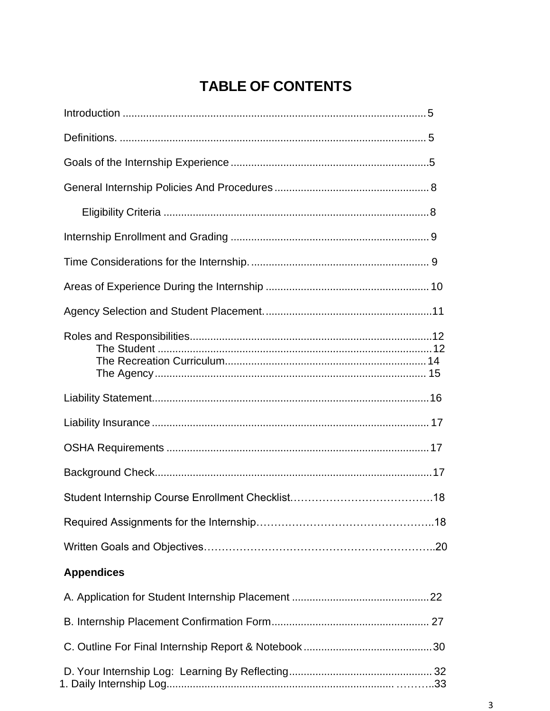# **TABLE OF CONTENTS**

| <b>Appendices</b> |
|-------------------|
|                   |
|                   |
|                   |
|                   |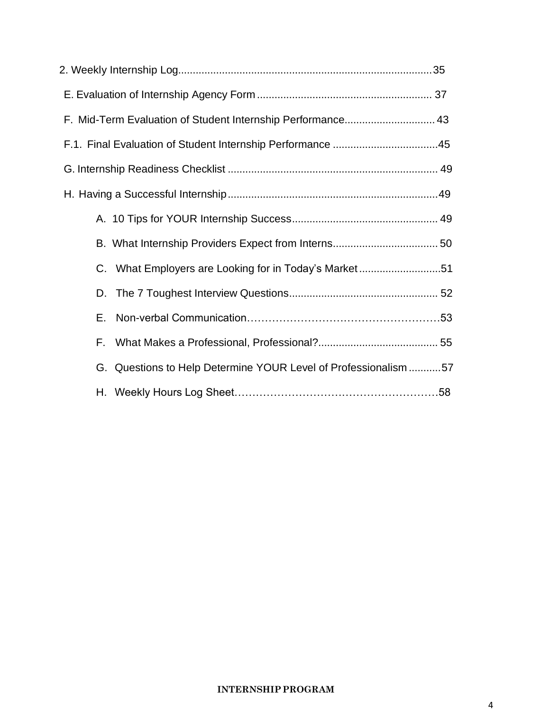| F. Mid-Term Evaluation of Student Internship Performance 43     |  |
|-----------------------------------------------------------------|--|
|                                                                 |  |
|                                                                 |  |
|                                                                 |  |
|                                                                 |  |
|                                                                 |  |
| C. What Employers are Looking for in Today's Market51           |  |
| D.                                                              |  |
| Ε.                                                              |  |
| Е.                                                              |  |
| G. Questions to Help Determine YOUR Level of Professionalism 57 |  |
|                                                                 |  |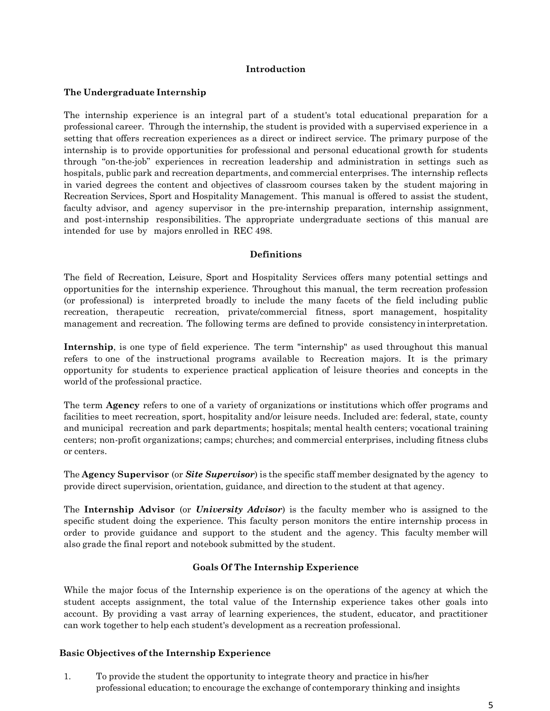#### **Introduction**

#### **The Undergraduate Internship**

The internship experience is an integral part of a student's total educational preparation for a professional career. Through the internship, the student is provided with a supervised experience in a setting that offers recreation experiences as a direct or indirect service. The primary purpose of the internship is to provide opportunities for professional and personal educational growth for students through "on-the-job" experiences in recreation leadership and administration in settings such as hospitals, public park and recreation departments, and commercial enterprises. The internship reflects in varied degrees the content and objectives of classroom courses taken by the student majoring in Recreation Services, Sport and Hospitality Management. This manual is offered to assist the student, faculty advisor, and agency supervisor in the pre-internship preparation, internship assignment, and post-internship responsibilities. The appropriate undergraduate sections of this manual are intended for use by majors enrolled in REC 498.

#### **Definitions**

The field of Recreation, Leisure, Sport and Hospitality Services offers many potential settings and opportunities for the internship experience. Throughout this manual, the term recreation profession (or professional) is interpreted broadly to include the many facets of the field including public recreation, therapeutic recreation, private/commercial fitness, sport management, hospitality management and recreation. The following terms are defined to provide consistency ininterpretation.

**Internship**, is one type of field experience. The term "internship" as used throughout this manual refers to one of the instructional programs available to Recreation majors. It is the primary opportunity for students to experience practical application of leisure theories and concepts in the world of the professional practice.

The term **Agency** refers to one of a variety of organizations or institutions which offer programs and facilities to meet recreation, sport, hospitality and/or leisure needs. Included are: federal, state, county and municipal recreation and park departments; hospitals; mental health centers; vocational training centers; non-profit organizations; camps; churches; and commercial enterprises, including fitness clubs or centers.

The **Agency Supervisor** (or *Site Supervisor*) is the specific staff member designated by the agency to provide direct supervision, orientation, guidance, and direction to the student at that agency.

The **Internship Advisor** (or *University Advisor*) is the faculty member who is assigned to the specific student doing the experience. This faculty person monitors the entire internship process in order to provide guidance and support to the student and the agency. This faculty member will also grade the final report and notebook submitted by the student.

#### **Goals Of The Internship Experience**

While the major focus of the Internship experience is on the operations of the agency at which the student accepts assignment, the total value of the Internship experience takes other goals into account. By providing a vast array of learning experiences, the student, educator, and practitioner can work together to help each student's development as a recreation professional.

#### **Basic Objectives of the Internship Experience**

1. To provide the student the opportunity to integrate theory and practice in his/her professional education; to encourage the exchange of contemporary thinking and insights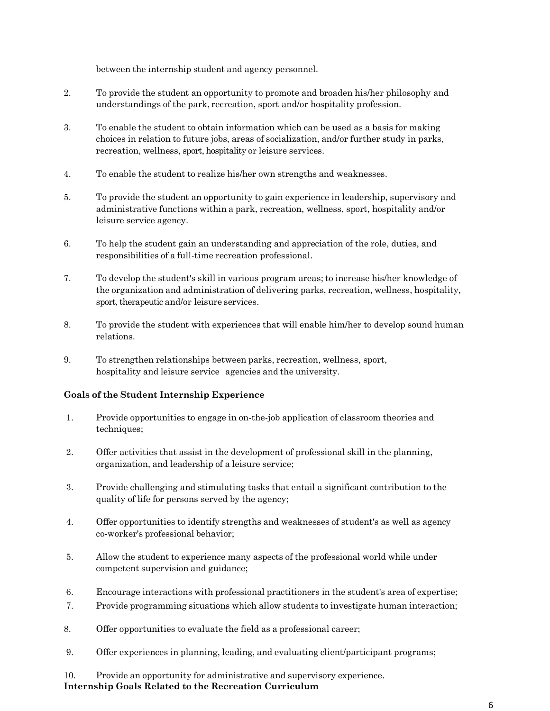between the internship student and agency personnel.

- 2. To provide the student an opportunity to promote and broaden his/her philosophy and understandings of the park, recreation, sport and/or hospitality profession.
- 3. To enable the student to obtain information which can be used as a basis for making choices in relation to future jobs, areas of socialization, and/or further study in parks, recreation, wellness, sport, hospitality or leisure services.
- 4. To enable the student to realize his/her own strengths and weaknesses.
- 5. To provide the student an opportunity to gain experience in leadership, supervisory and administrative functions within a park, recreation, wellness, sport, hospitality and/or leisure service agency.
- 6. To help the student gain an understanding and appreciation of the role, duties, and responsibilities of a full-time recreation professional.
- 7. To develop the student's skill in various program areas; to increase his/her knowledge of the organization and administration of delivering parks, recreation, wellness, hospitality, sport, therapeutic and/or leisure services.
- 8. To provide the student with experiences that will enable him/her to develop sound human relations.
- 9. To strengthen relationships between parks, recreation, wellness, sport, hospitality and leisure service agencies and the university.

#### **Goals of the Student Internship Experience**

- 1. Provide opportunities to engage in on-the-job application of classroom theories and techniques;
- 2. Offer activities that assist in the development of professional skill in the planning, organization, and leadership of a leisure service;
- 3. Provide challenging and stimulating tasks that entail a significant contribution to the quality of life for persons served by the agency;
- 4. Offer opportunities to identify strengths and weaknesses of student's as well as agency co-worker's professional behavior;
- 5. Allow the student to experience many aspects of the professional world while under competent supervision and guidance;
- 6. Encourage interactions with professional practitioners in the student's area of expertise;
- 7. Provide programming situations which allow students to investigate human interaction;
- 8. Offer opportunities to evaluate the field as a professional career;
- 9. Offer experiences in planning, leading, and evaluating client/participant programs;
- 10. Provide an opportunity for administrative and supervisory experience.

#### **Internship Goals Related to the Recreation Curriculum**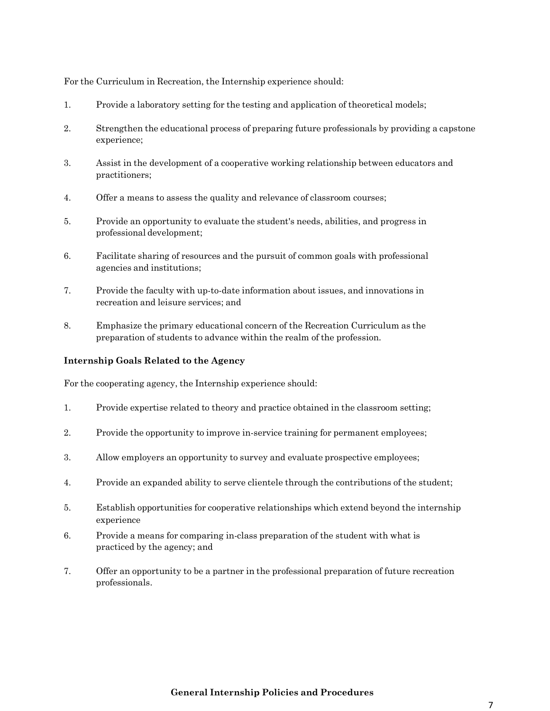For the Curriculum in Recreation, the Internship experience should:

- 1. Provide a laboratory setting for the testing and application of theoretical models;
- 2. Strengthen the educational process of preparing future professionals by providing a capstone experience;
- 3. Assist in the development of a cooperative working relationship between educators and practitioners;
- 4. Offer a means to assess the quality and relevance of classroom courses;
- 5. Provide an opportunity to evaluate the student's needs, abilities, and progress in professional development;
- 6. Facilitate sharing of resources and the pursuit of common goals with professional agencies and institutions;
- 7. Provide the faculty with up-to-date information about issues, and innovations in recreation and leisure services; and
- 8. Emphasize the primary educational concern of the Recreation Curriculum as the preparation of students to advance within the realm of the profession.

#### **Internship Goals Related to the Agency**

For the cooperating agency, the Internship experience should:

- 1. Provide expertise related to theory and practice obtained in the classroom setting;
- 2. Provide the opportunity to improve in-service training for permanent employees;
- 3. Allow employers an opportunity to survey and evaluate prospective employees;
- 4. Provide an expanded ability to serve clientele through the contributions of the student;
- 5. Establish opportunities for cooperative relationships which extend beyond the internship experience
- 6. Provide a means for comparing in-class preparation of the student with what is practiced by the agency; and
- 7. Offer an opportunity to be a partner in the professional preparation of future recreation professionals.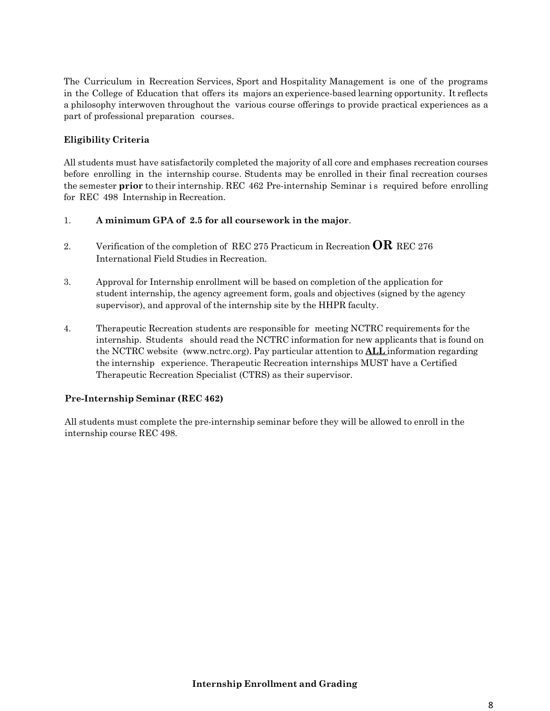The Curriculum in Recreation Services, Sport and Hospitality Management is one of the programs in the College of Education that offers its majors an experience-based learning opportunity. It reflects a philosophy interwoven throughout the various course offerings to provide practical experiences as a part of professional preparation courses.

#### **Eligibility Criteria**

All students must have satisfactorily completed the majority of all core and emphases recreation courses before enrolling in the internship course. Students may be enrolled in their final recreation courses the semester **prior** to their internship. REC 462 Pre-internship Seminar i s required before enrolling for REC 498 Internship in Recreation.

#### 1. **A minimum GPA of 2.5 for all coursework in the major**.

- 2. Verification of the completion of REC 275 Practicum in Recreation **OR** REC 276 International Field Studies in Recreation.
- 3. Approval for Internship enrollment will be based on completion of the application for student internship, the agency agreement form, goals and objectives (signed by the agency supervisor), and approval of the internship site by the HHPR faculty.
- 4. Therapeutic Recreation students are responsible for meeting NCTRC requirements for the internship. Students should read the NCTRC information for new applicants that is found on the NCTRC website (www.nctrc.org). Pay particular attention to **ALL** information regarding the internship experience. Therapeutic Recreation internships MUST have a Certified Therapeutic Recreation Specialist (CTRS) as their supervisor.

#### **Pre-Internship Seminar (REC 462)**

All students must complete the pre-internship seminar before they will be allowed to enroll in the internship course REC 498.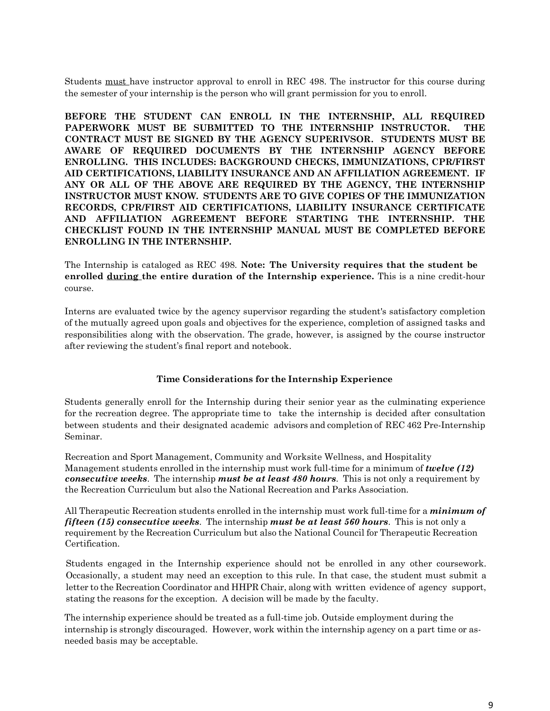Students must have instructor approval to enroll in REC 498. The instructor for this course during the semester of your internship is the person who will grant permission for you to enroll.

**BEFORE THE STUDENT CAN ENROLL IN THE INTERNSHIP, ALL REQUIRED PAPERWORK MUST BE SUBMITTED TO THE INTERNSHIP INSTRUCTOR. THE CONTRACT MUST BE SIGNED BY THE AGENCY SUPERIVSOR. STUDENTS MUST BE AWARE OF REQUIRED DOCUMENTS BY THE INTERNSHIP AGENCY BEFORE ENROLLING. THIS INCLUDES: BACKGROUND CHECKS, IMMUNIZATIONS, CPR/FIRST AID CERTIFICATIONS, LIABILITY INSURANCE AND AN AFFILIATION AGREEMENT. IF ANY OR ALL OF THE ABOVE ARE REQUIRED BY THE AGENCY, THE INTERNSHIP INSTRUCTOR MUST KNOW. STUDENTS ARE TO GIVE COPIES OF THE IMMUNIZATION RECORDS, CPR/FIRST AID CERTIFICATIONS, LIABILITY INSURANCE CERTIFICATE AND AFFILIATION AGREEMENT BEFORE STARTING THE INTERNSHIP. THE CHECKLIST FOUND IN THE INTERNSHIP MANUAL MUST BE COMPLETED BEFORE ENROLLING IN THE INTERNSHIP.**

The Internship is cataloged as REC 498. **Note: The University requires that the student be enrolled during the entire duration of the Internship experience.** This is a nine credit-hour course.

Interns are evaluated twice by the agency supervisor regarding the student's satisfactory completion of the mutually agreed upon goals and objectives for the experience, completion of assigned tasks and responsibilities along with the observation. The grade, however, is assigned by the course instructor after reviewing the student's final report and notebook.

#### **Time Considerations for the Internship Experience**

Students generally enroll for the Internship during their senior year as the culminating experience for the recreation degree. The appropriate time to take the internship is decided after consultation between students and their designated academic advisors and completion of REC 462 Pre-Internship Seminar.

Recreation and Sport Management, Community and Worksite Wellness, and Hospitality Management students enrolled in the internship must work full-time for a minimum of *twelve (12) consecutive weeks*. The internship *must be at least 480 hours*. This is not only a requirement by the Recreation Curriculum but also the National Recreation and Parks Association.

All Therapeutic Recreation students enrolled in the internship must work full-time for a *minimum of fifteen (15) consecutive weeks*. The internship *must be at least 560 hours*. This is not only a requirement by the Recreation Curriculum but also the National Council for Therapeutic Recreation Certification.

Students engaged in the Internship experience should not be enrolled in any other coursework. Occasionally, a student may need an exception to this rule. In that case, the student must submit a letter to the Recreation Coordinator and HHPR Chair, along with written evidence of agency support, stating the reasons for the exception. A decision will be made by the faculty.

The internship experience should be treated as a full-time job. Outside employment during the internship is strongly discouraged. However, work within the internship agency on a part time or asneeded basis may be acceptable.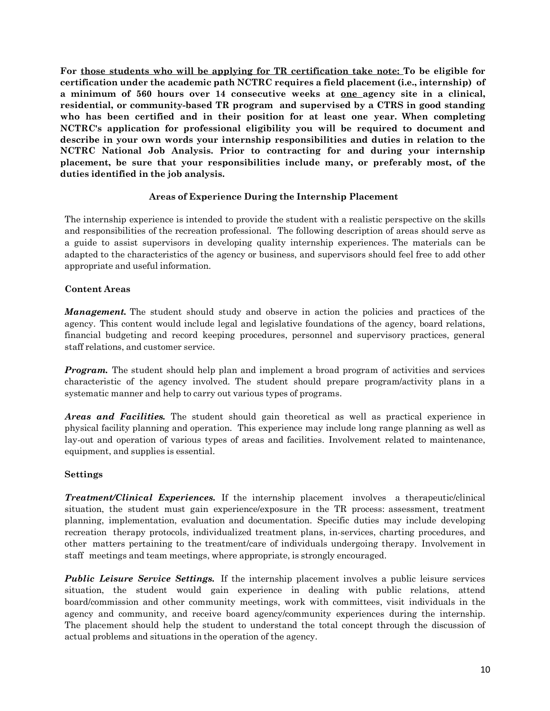**For those students who will be applying for TR certification take note: To be eligible for certification under the academic path NCTRC requires a field placement (i.e., internship) of a minimum of 560 hours over 14 consecutive weeks at one agency site in a clinical, residential, or community-based TR program and supervised by a CTRS in good standing who has been certified and in their position for at least one year. When completing NCTRC's application for professional eligibility you will be required to document and describe in your own words your internship responsibilities and duties in relation to the NCTRC National Job Analysis. Prior to contracting for and during your internship placement, be sure that your responsibilities include many, or preferably most, of the duties identified in the job analysis.**

#### **Areas of Experience During the Internship Placement**

The internship experience is intended to provide the student with a realistic perspective on the skills and responsibilities of the recreation professional. The following description of areas should serve as a guide to assist supervisors in developing quality internship experiences. The materials can be adapted to the characteristics of the agency or business, and supervisors should feel free to add other appropriate and useful information.

#### **Content Areas**

*Management.* The student should study and observe in action the policies and practices of the agency. This content would include legal and legislative foundations of the agency, board relations, financial budgeting and record keeping procedures, personnel and supervisory practices, general staff relations, and customer service.

*Program.* The student should help plan and implement a broad program of activities and services characteristic of the agency involved. The student should prepare program/activity plans in a systematic manner and help to carry out various types of programs.

*Areas and Facilities.* The student should gain theoretical as well as practical experience in physical facility planning and operation. This experience may include long range planning as well as lay-out and operation of various types of areas and facilities. Involvement related to maintenance, equipment, and supplies is essential.

#### **Settings**

*Treatment/Clinical Experiences.* If the internship placement involves a therapeutic/clinical situation, the student must gain experience/exposure in the TR process: assessment, treatment planning, implementation, evaluation and documentation. Specific duties may include developing recreation therapy protocols, individualized treatment plans, in-services, charting procedures, and other matters pertaining to the treatment/care of individuals undergoing therapy. Involvement in staff meetings and team meetings, where appropriate, is strongly encouraged.

*Public Leisure Service Settings.* If the internship placement involves a public leisure services situation, the student would gain experience in dealing with public relations, attend board/commission and other community meetings, work with committees, visit individuals in the agency and community, and receive board agency/community experiences during the internship. The placement should help the student to understand the total concept through the discussion of actual problems and situations in the operation of the agency.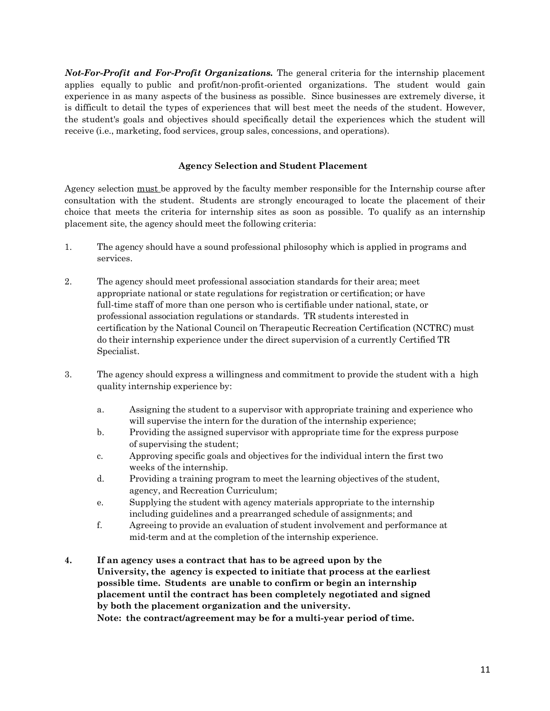*Not-For-Profit and For-Profit Organizations.* The general criteria for the internship placement applies equally to public and profit/non-profit-oriented organizations. The student would gain experience in as many aspects of the business as possible. Since businesses are extremely diverse, it is difficult to detail the types of experiences that will best meet the needs of the student. However, the student's goals and objectives should specifically detail the experiences which the student will receive (i.e., marketing, food services, group sales, concessions, and operations).

#### **Agency Selection and Student Placement**

Agency selection must be approved by the faculty member responsible for the Internship course after consultation with the student. Students are strongly encouraged to locate the placement of their choice that meets the criteria for internship sites as soon as possible. To qualify as an internship placement site, the agency should meet the following criteria:

- 1. The agency should have a sound professional philosophy which is applied in programs and services.
- 2. The agency should meet professional association standards for their area; meet appropriate national or state regulations for registration or certification; or have full-time staff of more than one person who is certifiable under national, state, or professional association regulations or standards. TR students interested in certification by the National Council on Therapeutic Recreation Certification (NCTRC) must do their internship experience under the direct supervision of a currently Certified TR Specialist.
- 3. The agency should express a willingness and commitment to provide the student with a high quality internship experience by:
	- a. Assigning the student to a supervisor with appropriate training and experience who will supervise the intern for the duration of the internship experience;
	- b. Providing the assigned supervisor with appropriate time for the express purpose of supervising the student;
	- c. Approving specific goals and objectives for the individual intern the first two weeks of the internship.
	- d. Providing a training program to meet the learning objectives of the student, agency, and Recreation Curriculum;
	- e. Supplying the student with agency materials appropriate to the internship including guidelines and a prearranged schedule of assignments; and
	- f. Agreeing to provide an evaluation of student involvement and performance at mid-term and at the completion of the internship experience.
- **4. If an agency uses a contract that has to be agreed upon by the University, the agency is expected to initiate that process at the earliest possible time. Students are unable to confirm or begin an internship placement until the contract has been completely negotiated and signed by both the placement organization and the university. Note: the contract/agreement may be for a multi-year period of time.**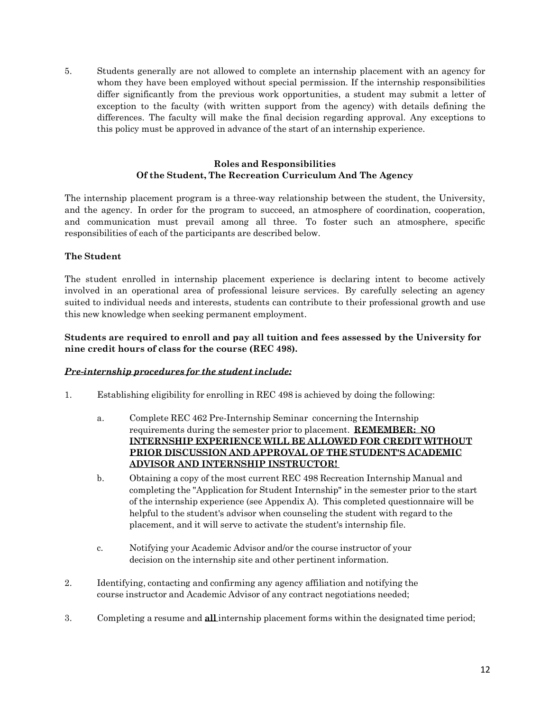5. Students generally are not allowed to complete an internship placement with an agency for whom they have been employed without special permission. If the internship responsibilities differ significantly from the previous work opportunities, a student may submit a letter of exception to the faculty (with written support from the agency) with details defining the differences. The faculty will make the final decision regarding approval. Any exceptions to this policy must be approved in advance of the start of an internship experience.

#### **Roles and Responsibilities Of the Student, The Recreation Curriculum And The Agency**

The internship placement program is a three-way relationship between the student, the University, and the agency. In order for the program to succeed, an atmosphere of coordination, cooperation, and communication must prevail among all three. To foster such an atmosphere, specific responsibilities of each of the participants are described below.

#### **The Student**

The student enrolled in internship placement experience is declaring intent to become actively involved in an operational area of professional leisure services. By carefully selecting an agency suited to individual needs and interests, students can contribute to their professional growth and use this new knowledge when seeking permanent employment.

#### **Students are required to enroll and pay all tuition and fees assessed by the University for nine credit hours of class for the course (REC 498).**

#### *Pre-internship procedures for the student include:*

- 1. Establishing eligibility for enrolling in REC 498 is achieved by doing the following:
	- a. Complete REC 462 Pre-Internship Seminar concerning the Internship requirements during the semester prior to placement. **REMEMBER: NO INTERNSHIP EXPERIENCE WILL BE ALLOWED FOR CREDIT WITHOUT PRIOR DISCUSSION AND APPROVAL OF THE STUDENT'S ACADEMIC ADVISOR AND INTERNSHIP INSTRUCTOR!**
	- b. Obtaining a copy of the most current REC 498 Recreation Internship Manual and completing the "Application for Student Internship" in the semester prior to the start of the internship experience (see Appendix A). This completed questionnaire will be helpful to the student's advisor when counseling the student with regard to the placement, and it will serve to activate the student's internship file.
	- c. Notifying your Academic Advisor and/or the course instructor of your decision on the internship site and other pertinent information.
- 2. Identifying, contacting and confirming any agency affiliation and notifying the course instructor and Academic Advisor of any contract negotiations needed;
- 3. Completing a resume and **all** internship placement forms within the designated time period;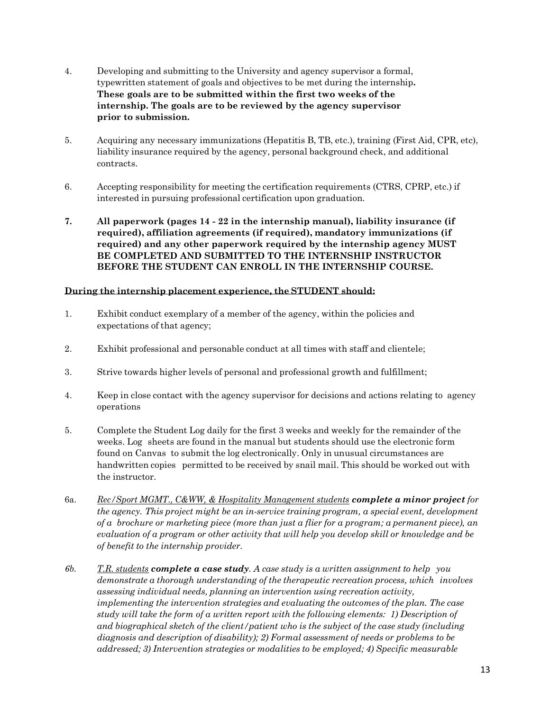- 4. Developing and submitting to the University and agency supervisor a formal, typewritten statement of goals and objectives to be met during the internship**. These goals are to be submitted within the first two weeks of the internship. The goals are to be reviewed by the agency supervisor prior to submission.**
- 5. Acquiring any necessary immunizations (Hepatitis B, TB, etc.), training (First Aid, CPR, etc), liability insurance required by the agency, personal background check, and additional contracts.
- 6. Accepting responsibility for meeting the certification requirements (CTRS, CPRP, etc.) if interested in pursuing professional certification upon graduation.
- **7. All paperwork (pages 14 - 22 in the internship manual), liability insurance (if required), affiliation agreements (if required), mandatory immunizations (if required) and any other paperwork required by the internship agency MUST BE COMPLETED AND SUBMITTED TO THE INTERNSHIP INSTRUCTOR BEFORE THE STUDENT CAN ENROLL IN THE INTERNSHIP COURSE.**

#### **During the internship placement experience, the STUDENT should:**

- 1. Exhibit conduct exemplary of a member of the agency, within the policies and expectations of that agency;
- 2. Exhibit professional and personable conduct at all times with staff and clientele;
- 3. Strive towards higher levels of personal and professional growth and fulfillment;
- 4. Keep in close contact with the agency supervisor for decisions and actions relating to agency operations
- 5. Complete the Student Log daily for the first 3 weeks and weekly for the remainder of the weeks. Log sheets are found in the manual but students should use the electronic form found on Canvas to submit the log electronically. Only in unusual circumstances are handwritten copies permitted to be received by snail mail. This should be worked out with the instructor.
- 6a. *Rec/Sport MGMT., C&WW, & Hospitality Management students complete a minor project for the agency. This project might be an in-service training program, a special event, development of a brochure or marketing piece (more than just a flier for a program; a permanent piece), an evaluation of a program or other activity that will help you develop skill or knowledge and be of benefit to the internship provider.*
- *6b. T.R. students complete a case study. A case study is a written assignment to help you demonstrate a thorough understanding of the therapeutic recreation process, which involves assessing individual needs, planning an intervention using recreation activity, implementing the intervention strategies and evaluating the outcomes of the plan. The case study will take the form of a written report with the following elements: 1) Description of and biographical sketch of the client/patient who is the subject of the case study (including diagnosis and description of disability); 2) Formal assessment of needs or problems to be addressed; 3) Intervention strategies or modalities to be employed; 4) Specific measurable*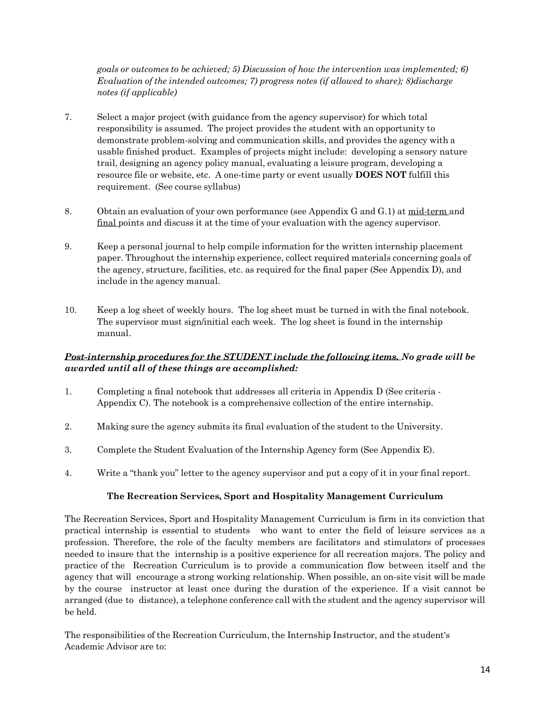*goals or outcomes to be achieved; 5) Discussion of how the intervention was implemented; 6) Evaluation of the intended outcomes; 7) progress notes (if allowed to share); 8)discharge notes (if applicable)* 

- 7. Select a major project (with guidance from the agency supervisor) for which total responsibility is assumed. The project provides the student with an opportunity to demonstrate problem-solving and communication skills,and provides the agency with a usable finished product. Examples of projects might include: developing a sensory nature trail, designing an agency policy manual, evaluating a leisure program, developing a resource file or website, etc. A one-time party or event usually **DOES NOT** fulfill this requirement. (See course syllabus)
- 8. Obtain an evaluation of your own performance (see Appendix G and G.1) at mid-term and final points and discuss it at the time of your evaluation with the agency supervisor.
- 9. Keep a personal journal to help compile information for the written internship placement paper. Throughout the internship experience, collect required materials concerning goals of the agency, structure, facilities, etc. as required for the final paper (See Appendix D), and include in the agency manual.
- 10. Keep a log sheet of weekly hours. The log sheet must be turned in with the final notebook. The supervisor must sign/initial each week. The log sheet is found in the internship manual.

# *Post-internship procedures for the STUDENT include the following items. No grade will be awarded until all of these things are accomplished:*

- 1. Completing a final notebook that addresses all criteria in Appendix D (See criteria Appendix C). The notebook is a comprehensive collection of the entire internship.
- 2. Making sure the agency submits its final evaluation of the student to the University.
- 3. Complete the Student Evaluation of the Internship Agency form (See Appendix E).
- 4. Write a "thank you" letter to the agency supervisor and put a copy of it in your final report.

#### **The Recreation Services, Sport and Hospitality Management Curriculum**

The Recreation Services, Sport and Hospitality Management Curriculum is firm in its conviction that practical internship is essential to students who want to enter the field of leisure services as a profession. Therefore, the role of the faculty members are facilitators and stimulators of processes needed to insure that the internship is a positive experience for all recreation majors. The policy and practice of the Recreation Curriculum is to provide a communication flow between itself and the agency that will encourage a strong working relationship. When possible, an on-site visit will be made by the course instructor at least once during the duration of the experience. If a visit cannot be arranged (due to distance), atelephone conference call with the student and the agency supervisor will be held.

The responsibilities of the Recreation Curriculum, the Internship Instructor, and the student's Academic Advisor are to: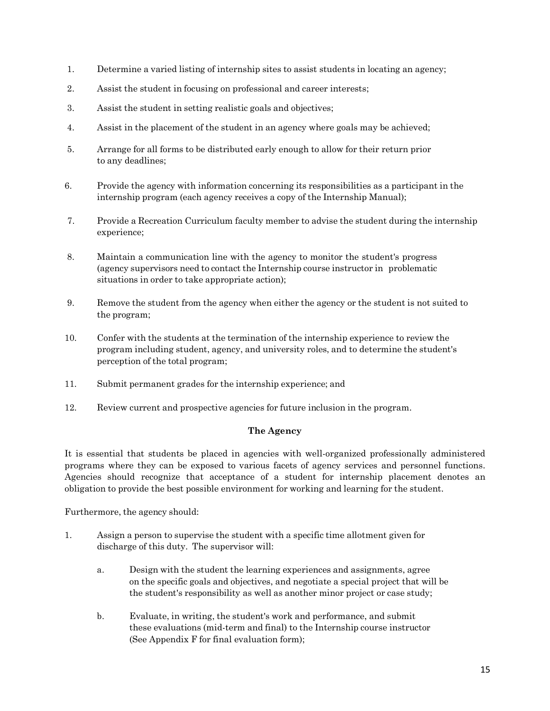- 1. Determine a varied listing of internship sites to assist students in locating an agency;
- 2. Assist the student in focusing on professional and career interests;
- 3. Assist the student in setting realistic goals and objectives;
- 4. Assist in the placement of the student in an agency where goals may be achieved;
- 5. Arrange for all forms to be distributed early enough to allow for their return prior to any deadlines;
- 6. Provide the agency with information concerning its responsibilities as a participant in the internship program (each agency receives a copy of the Internship Manual);
- 7. Provide a Recreation Curriculum faculty member to advise the student during the internship experience;
- 8. Maintain a communication line with the agency to monitor the student's progress (agency supervisors need to contact the Internship course instructor in problematic situations in order to take appropriate action);
- 9. Remove the student from the agency when either the agency or the student is not suited to the program;
- 10. Confer with the students at the termination of the internship experience to review the program including student, agency, and university roles, and to determine the student's perception of the total program;
- 11. Submit permanent grades for the internship experience; and
- 12. Review current and prospective agencies for future inclusion in the program.

# **The Agency**

It is essential that students be placed in agencies with well-organized professionally administered programs where they can be exposed to various facets of agency services and personnel functions. Agencies should recognize that acceptance of a student for internship placement denotes an obligation to provide the best possible environment for working and learning for the student.

Furthermore, the agency should:

- 1. Assign a person to supervise the student with a specific time allotment given for discharge of this duty. The supervisor will:
	- a. Design with the student the learning experiences and assignments, agree on the specific goals and objectives, and negotiate a special project that will be the student's responsibility as well as another minor project or case study;
	- b. Evaluate, in writing, the student's work and performance, and submit these evaluations (mid-term and final) to the Internship course instructor (See Appendix F for final evaluation form);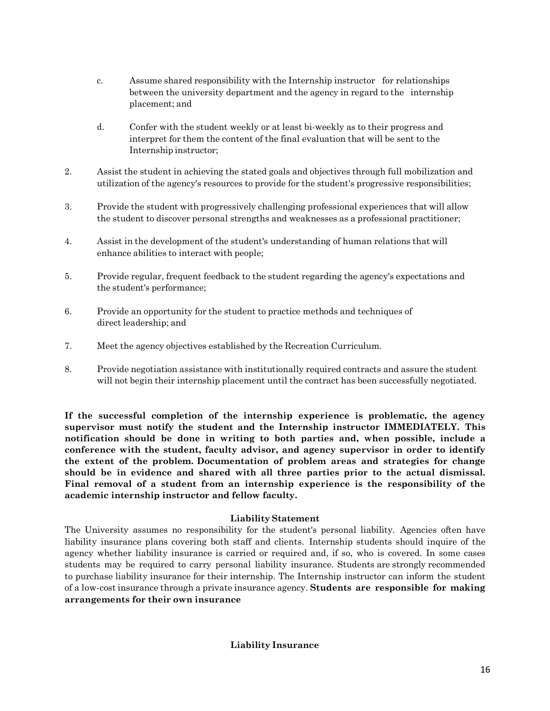- c. Assume shared responsibility with the Internship instructor for relationships between the university department and the agency in regard to the internship placement;and
- d. Confer with the student weekly or at least bi-weekly as to their progress and interpret for them the content of the final evaluation that will be sent to the Internship instructor;
- 2. Assist the student in achieving the stated goals and objectives through full mobilization and utilization of the agency's resources to provide for the student's progressive responsibilities;
- 3. Provide the student with progressively challenging professional experiences that will allow the student to discover personal strengths and weaknesses as a professional practitioner;
- 4. Assist in the development of the student's understanding of human relations that will enhance abilities to interact with people;
- 5. Provide regular, frequent feedback to the student regarding the agency's expectations and the student's performance;
- 6. Provide an opportunity for the student to practice methods and techniques of direct leadership;and
- 7. Meet the agency objectives established by the Recreation Curriculum.
- 8. Provide negotiation assistance with institutionally required contracts and assure the student will not begin their internship placement until the contract has been successfully negotiated.

**If the successful completion of the internship experience is problematic, the agency supervisor must notify the student and the Internship instructor IMMEDIATELY. This notification should be done in writing to both parties and, when possible, include a conference with the student, faculty advisor, and agency supervisor in order to identify the extent of the problem. Documentation of problem areas and strategies for change should be in evidence and shared with all three parties prior to the actual dismissal. Final removal of a student from an internship experience is the responsibility of the academic internship instructor and fellow faculty.**

#### **Liability Statement**

The University assumes no responsibility for the student's personal liability. Agencies often have liability insurance plans covering both staff and clients. Internship students should inquire of the agency whether liability insurance is carried or required and, if so, who is covered. In some cases students may be required to carry personal liability insurance. Students are strongly recommended to purchase liability insurance for their internship. The Internship instructor can inform the student of a low-cost insurance through a private insurance agency. **Students are responsible for making arrangements for their own insurance**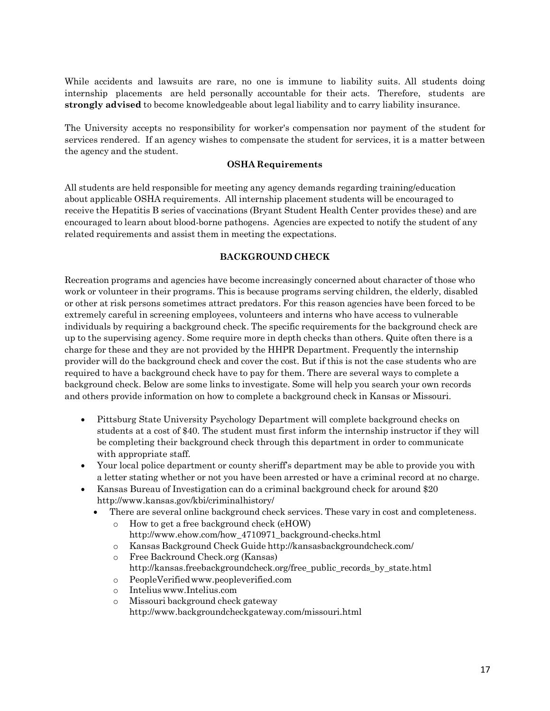While accidents and lawsuits are rare, no one is immune to liability suits. All students doing internship placements are held personally accountable for their acts. Therefore, students are **strongly advised** to become knowledgeable about legal liability and to carry liability insurance.

The University accepts no responsibility for worker's compensation nor payment of the student for services rendered. If an agency wishes to compensate the student for services, it is a matter between the agency and the student.

#### **OSHA Requirements**

All students are held responsible for meeting any agency demands regarding training/education about applicable OSHA requirements. All internship placement students will be encouraged to receive the Hepatitis B series of vaccinations (Bryant Student Health Center provides these) and are encouraged to learn about blood-borne pathogens. Agencies are expected to notify the student of any related requirements and assist them in meeting the expectations.

#### **BACKGROUND CHECK**

Recreation programs and agencies have become increasingly concerned about character of those who work or volunteer in their programs. This is because programs serving children, the elderly, disabled or other at risk persons sometimes attract predators. For this reason agencies have been forced to be extremely careful in screening employees, volunteers and interns who have access to vulnerable individuals by requiring a background check. The specific requirements for the background check are up to the supervising agency. Some require more in depth checks than others. Quite often there is a charge for these and they are not provided by the HHPR Department. Frequently the internship provider will do the background check and cover the cost. But if this is not the case students who are required to have a background check have to pay for them. There are several ways to complete a background check. Below are some links to investigate. Some will help you search your own records and others provide information on how to complete a background check in Kansas or Missouri.

- Pittsburg State University Psychology Department will complete background checks on students at a cost of \$40. The student must first inform the internship instructor if they will be completing their background check through this department in order to communicate with appropriate staff.
- Your local police department or county sheriff's department may be able to provide you with a letter stating whether or not you have been arrested or have a criminal record at no charge.
- Kansas Bureau of Investigation can do a criminal background check for around \$2[0](http://www.kansas.gov/kbi/criminalhistory/) <http://www.kansas.gov/kbi/criminalhistory/>
	- There are several online background check services. These vary in cost and completeness.
		- o How to get a free background check (eHOW[\)](http://www.ehow.com/how_4710971_background-checks.html) [http://www.ehow.com/how\\_4710971\\_background-checks.html](http://www.ehow.com/how_4710971_background-checks.html)
		- o Kansas Background Check Guide <http://kansasbackgroundcheck.com/>
		- o Free Backround Check.org (Kansas[\)](http://kansas.freebackgroundcheck.org/free_public_records_by_state.html)
		- [http://kansas.freebackgroundcheck.org/free\\_public\\_records\\_by\\_state.html](http://kansas.freebackgroundcheck.org/free_public_records_by_state.html)
		- o PeopleVerifie[dwww.peopleverified.com](http://www.peopleverified.com/)
		- o Intelius [www.Intelius.com](http://www.intelius.com/)
		- o Missouri background check gateway <http://www.backgroundcheckgateway.com/missouri.html>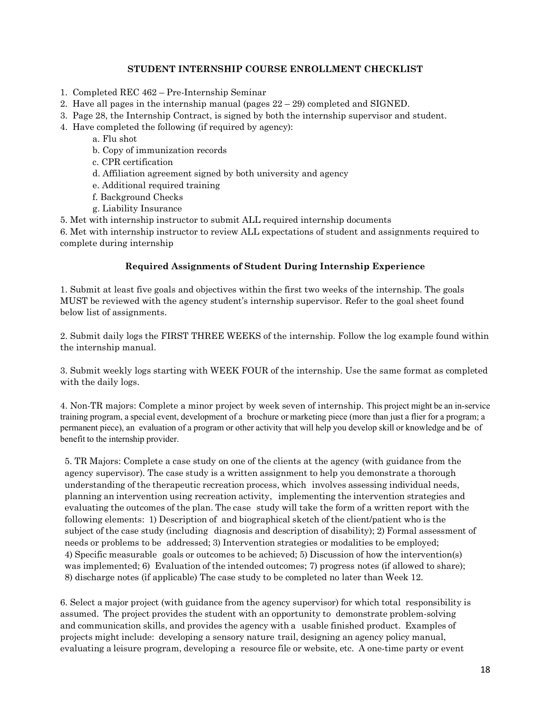#### **STUDENT INTERNSHIP COURSE ENROLLMENT CHECKLIST**

- 1. Completed REC 462 Pre-Internship Seminar
- 2. Have all pages in the internship manual (pages  $22 29$ ) completed and SIGNED.
- 3. Page 28, the Internship Contract, is signed by both the internship supervisor and student.
- 4. Have completed the following (if required by agency):
	- a. Flu shot
	- b. Copy of immunization records
	- c. CPR certification
	- d. Affiliation agreement signed by both university and agency
	- e. Additional required training
	- f. Background Checks
	- g. Liability Insurance
- 5. Met with internship instructor to submit ALL required internship documents

6. Met with internship instructor to review ALL expectations of student and assignments required to complete during internship

#### **Required Assignments of Student During Internship Experience**

1. Submit at least five goals and objectives within the first two weeks of the internship. The goals MUST be reviewed with the agency student's internship supervisor. Refer to the goal sheet found below list of assignments.

2. Submit daily logs the FIRST THREE WEEKS of the internship. Follow the log example found within the internship manual.

3. Submit weekly logs starting with WEEK FOUR of the internship. Use the same format as completed with the daily logs.

4. Non-TR majors: Complete a minor project by week seven of internship. This project might be an in-service training program, a special event, development of a brochure or marketing piece (more than just a flier for a program; a permanent piece), an evaluation of a program or other activity that will help you develop skill or knowledge and be of benefit to the internship provider.

5. TR Majors: Complete a case study on one of the clients at the agency (with guidance from the agency supervisor). The case study is a written assignment to help you demonstrate a thorough understanding of the therapeutic recreation process, which involves assessing individual needs, planning an intervention using recreation activity, implementing the intervention strategies and evaluating the outcomes of the plan. The case study will take the form of a written report with the following elements: 1) Description of and biographical sketch of the client/patient who is the subject of the case study (including diagnosis and description of disability); 2) Formal assessment of needs or problems to be addressed; 3) Intervention strategies or modalities to be employed; 4) Specific measurable goals or outcomes to be achieved; 5) Discussion of how the intervention(s) was implemented; 6) Evaluation of the intended outcomes; 7) progress notes (if allowed to share); 8) discharge notes (if applicable) The case study to be completed no later than Week 12.

6. Select a major project (with guidance from the agency supervisor) for which total responsibility is assumed. The project provides the student with an opportunity to demonstrate problem-solving and communication skills, and provides the agency with a usable finished product. Examples of projects might include: developing a sensory nature trail, designing an agency policy manual, evaluating a leisure program, developing a resource file or website, etc. A one-time party or event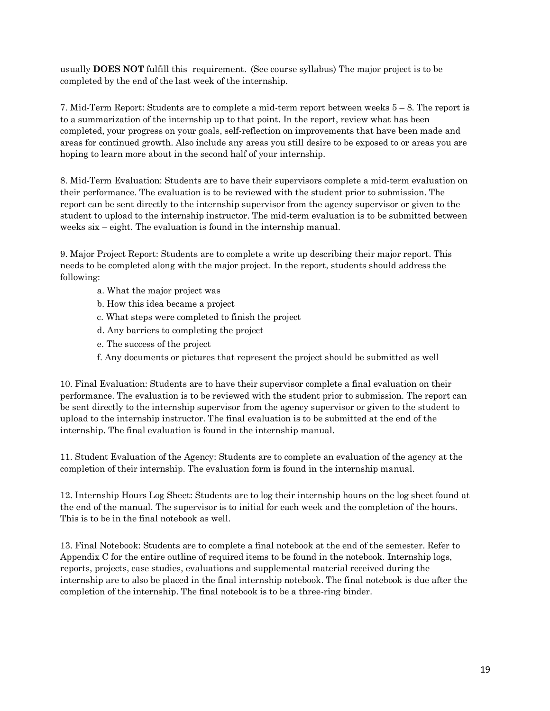usually **DOES NOT** fulfill this requirement. (See course syllabus) The major project is to be completed by the end of the last week of the internship.

7. Mid-Term Report: Students are to complete a mid-term report between weeks 5 – 8. The report is to a summarization of the internship up to that point. In the report, review what has been completed, your progress on your goals, self-reflection on improvements that have been made and areas for continued growth. Also include any areas you still desire to be exposed to or areas you are hoping to learn more about in the second half of your internship.

8. Mid-Term Evaluation: Students are to have their supervisors complete a mid-term evaluation on their performance. The evaluation is to be reviewed with the student prior to submission. The report can be sent directly to the internship supervisor from the agency supervisor or given to the student to upload to the internship instructor. The mid-term evaluation is to be submitted between weeks six – eight. The evaluation is found in the internship manual.

9. Major Project Report: Students are to complete a write up describing their major report. This needs to be completed along with the major project. In the report, students should address the following:

- a. What the major project was
- b. How this idea became a project
- c. What steps were completed to finish the project
- d. Any barriers to completing the project
- e. The success of the project
- f. Any documents or pictures that represent the project should be submitted as well

10. Final Evaluation: Students are to have their supervisor complete a final evaluation on their performance. The evaluation is to be reviewed with the student prior to submission. The report can be sent directly to the internship supervisor from the agency supervisor or given to the student to upload to the internship instructor. The final evaluation is to be submitted at the end of the internship. The final evaluation is found in the internship manual.

11. Student Evaluation of the Agency: Students are to complete an evaluation of the agency at the completion of their internship. The evaluation form is found in the internship manual.

12. Internship Hours Log Sheet: Students are to log their internship hours on the log sheet found at the end of the manual. The supervisor is to initial for each week and the completion of the hours. This is to be in the final notebook as well.

13. Final Notebook: Students are to complete a final notebook at the end of the semester. Refer to Appendix C for the entire outline of required items to be found in the notebook. Internship logs, reports, projects, case studies, evaluations and supplemental material received during the internship are to also be placed in the final internship notebook. The final notebook is due after the completion of the internship. The final notebook is to be a three-ring binder.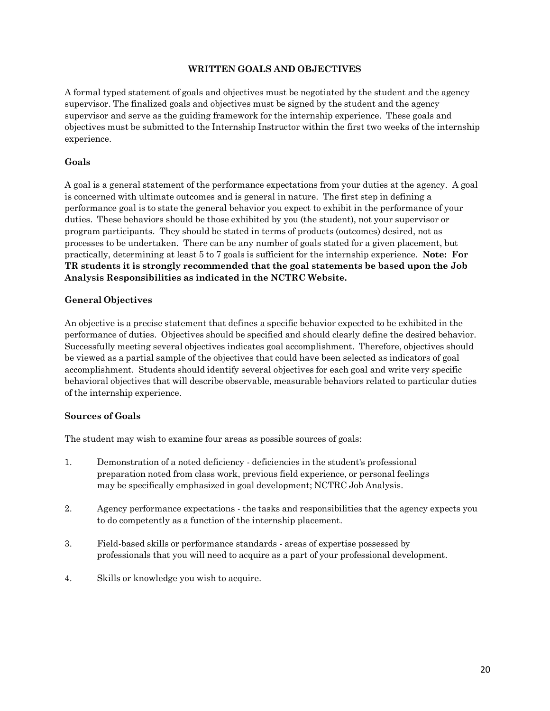#### **WRITTEN GOALS AND OBJECTIVES**

A formal typed statement of goals and objectives must be negotiated by the student and the agency supervisor. The finalized goals and objectives must be signed by the student and the agency supervisor and serve as the guiding framework for the internship experience. These goals and objectives must be submitted to the Internship Instructor within the first two weeks of the internship experience.

#### **Goals**

A goal is a general statement of the performance expectations from your duties at the agency. A goal is concerned with ultimate outcomes and is general in nature. The first step in defining a performance goal is to state the general behavior you expect to exhibit in the performance of your duties. These behaviors should be those exhibited by you (the student), not your supervisor or program participants. They should be stated in terms of products (outcomes) desired, not as processes to be undertaken. There can be any number of goals stated for a given placement, but practically, determining at least 5 to 7 goals is sufficient for the internship experience. **Note: For TR students it is strongly recommended that the goal statements be based upon the Job Analysis Responsibilities as indicated in the NCTRC Website.**

#### **General Objectives**

An objective is a precise statement that defines a specific behavior expected to be exhibited in the performance of duties. Objectives should be specified and should clearly define the desired behavior. Successfully meeting several objectives indicates goal accomplishment. Therefore, objectives should be viewed as a partial sample of the objectives that could have been selected as indicators of goal accomplishment. Students should identify several objectives for each goal and write very specific behavioral objectives that will describe observable, measurable behaviors related to particular duties of the internship experience.

#### **Sources of Goals**

The student may wish to examine four areas as possible sources of goals:

- 1. Demonstration of a noted deficiency deficiencies in the student's professional preparation noted from class work, previous field experience, or personal feelings may be specifically emphasized in goal development; NCTRC Job Analysis.
- 2. Agency performance expectations the tasks and responsibilities that the agency expects you to do competently as a function of the internship placement.
- 3. Field-based skills or performance standards areas of expertise possessed by professionals that you will need to acquire as a part of your professional development.
- 4. Skills or knowledge you wish to acquire.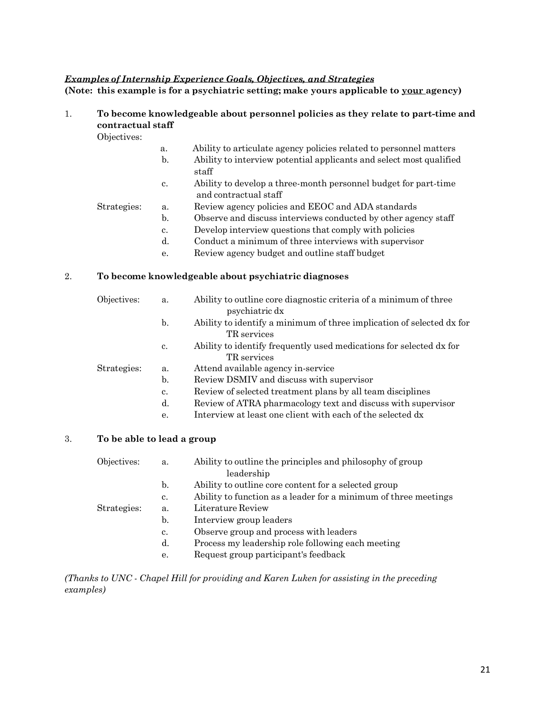#### *Examples of Internship Experience Goals, Objectives, and Strategies*

**(Note: this example is for a psychiatric setting; make yours applicable to your agency)**

# 1. **To become knowledgeable about personnel policies as they relate to part-time and contractual staff**

Objectives:

- a. Ability to articulate agency policies related to personnel matters
- b. Ability to interview potential applicants and select most qualified staff
- c. Ability to develop a three-month personnel budget for part-time and contractual staff

- Strategies: a. Review agency policies and EEOC and ADA standards
	- b. Observe and discuss interviews conducted by other agency staff
		- c. Develop interview questions that comply with policies
		- d. Conduct a minimum of three interviews with supervisor
		- e. Review agency budget and outline staff budget

#### 2. **To become knowledgeable about psychiatric diagnoses**

- Objectives: a. Ability to outline core diagnostic criteria of a minimum of three psychiatric dx b. Ability to identify a minimum of three implication of selected dx for TR services c. Ability to identify frequently used medications for selected dx for TR services Strategies: a. Attend available agency in-service b. Review DSMIV and discuss with supervisor c. Review of selected treatment plans by all team disciplines d. Review of ATRA pharmacology text and discuss with supervisor e. Interview at least one client with each of the selected dx 3. **To be able to lead a group** Objectives: a. Ability to outline the principles and philosophy of group leadership b. Ability to outline core content for a selected group c. Ability to function as a leader for a minimum of three meetings Strategies: a. Literature Review
	- b. Interview group leaders
	- c. Observe group and process with leaders
	- d. Process my leadership role following each meeting
	- e. Request group participant's feedback

*(Thanks to UNC - Chapel Hill for providing and Karen Luken for assisting in the preceding examples)*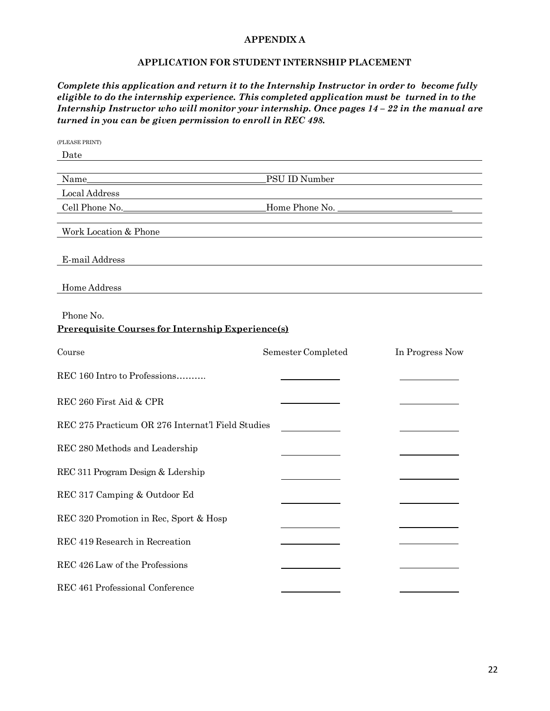#### **APPENDIX A**

#### **APPLICATION FOR STUDENT INTERNSHIP PLACEMENT**

*Complete this application and return it to the Internship Instructor in order to become fully eligible to do the internship experience. This completed application must be turned in to the Internship Instructor who will monitor your internship. Once pages 14 – 22 in the manual are turned in you can be given permission to enroll in REC 498.*

| (PLEASE PRINT)                                                 |                    |                 |
|----------------------------------------------------------------|--------------------|-----------------|
| Date                                                           |                    |                 |
|                                                                |                    |                 |
| Name                                                           | PSU ID Number      |                 |
| Local Address                                                  |                    |                 |
| Cell Phone No.                                                 | Home Phone No.     |                 |
| Work Location & Phone                                          |                    |                 |
| E-mail Address                                                 |                    |                 |
| Home Address                                                   |                    |                 |
| Phone No.<br>Prerequisite Courses for Internship Experience(s) |                    |                 |
| Course                                                         | Semester Completed | In Progress Now |
| REC 160 Intro to Professions                                   |                    |                 |
| REC 260 First Aid & CPR                                        |                    |                 |
| REC 275 Practicum OR 276 Internat'l Field Studies              |                    |                 |
| REC 280 Methods and Leadership                                 |                    |                 |
| REC 311 Program Design & Ldership                              |                    |                 |
| REC 317 Camping & Outdoor Ed                                   |                    |                 |
| REC 320 Promotion in Rec, Sport & Hosp                         |                    |                 |
| REC 419 Research in Recreation                                 |                    |                 |
| REC 426 Law of the Professions                                 |                    |                 |
| REC 461 Professional Conference                                |                    |                 |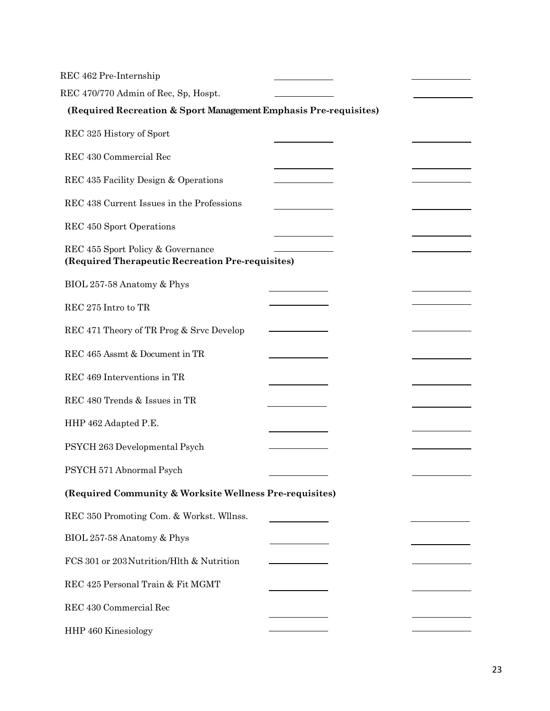| REC 462 Pre-Internship                                                                |  |
|---------------------------------------------------------------------------------------|--|
| REC 470/770 Admin of Rec, Sp, Hospt.                                                  |  |
| (Required Recreation & Sport Management Emphasis Pre-requisites)                      |  |
| REC 325 History of Sport                                                              |  |
| REC 430 Commercial Rec                                                                |  |
| REC 435 Facility Design & Operations                                                  |  |
| REC 438 Current Issues in the Professions                                             |  |
| REC 450 Sport Operations                                                              |  |
| REC 455 Sport Policy & Governance<br>(Required Therapeutic Recreation Pre-requisites) |  |
| BIOL 257-58 Anatomy & Phys                                                            |  |
| REC 275 Intro to TR                                                                   |  |
| REC 471 Theory of TR Prog & Srvc Develop                                              |  |
| REC 465 Assmt & Document in TR                                                        |  |
| REC 469 Interventions in TR                                                           |  |
| REC 480 Trends & Issues in TR                                                         |  |
| HHP 462 Adapted P.E.                                                                  |  |
| PSYCH 263 Developmental Psych                                                         |  |
| PSYCH 571 Abnormal Psych                                                              |  |
| (Required Community & Worksite Wellness Pre-requisites)                               |  |
| REC 350 Promoting Com. & Workst. Wilnss.                                              |  |
| BIOL 257-58 Anatomy & Phys                                                            |  |
| FCS 301 or 203 Nutrition/Hlth & Nutrition                                             |  |
| REC 425 Personal Train & Fit MGMT                                                     |  |
| REC 430 Commercial Rec                                                                |  |
| HHP 460 Kinesiology                                                                   |  |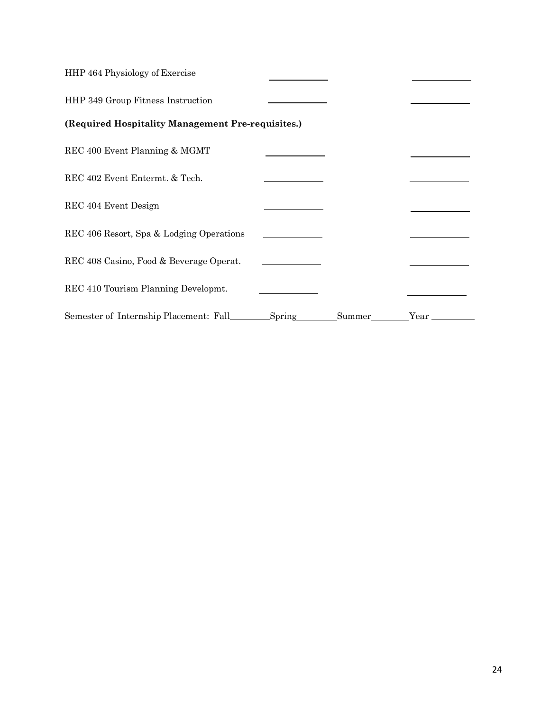| HHP 464 Physiology of Exercise                    |        |        |      |
|---------------------------------------------------|--------|--------|------|
| HHP 349 Group Fitness Instruction                 |        |        |      |
| (Required Hospitality Management Pre-requisites.) |        |        |      |
| REC 400 Event Planning & MGMT                     |        |        |      |
| REC 402 Event Entermt. & Tech.                    |        |        |      |
| REC 404 Event Design                              |        |        |      |
| REC 406 Resort, Spa & Lodging Operations          |        |        |      |
| REC 408 Casino, Food & Beverage Operat.           |        |        |      |
| REC 410 Tourism Planning Developmt.               |        |        |      |
| Semester of Internship Placement: Fall            | Spring | Summer | Year |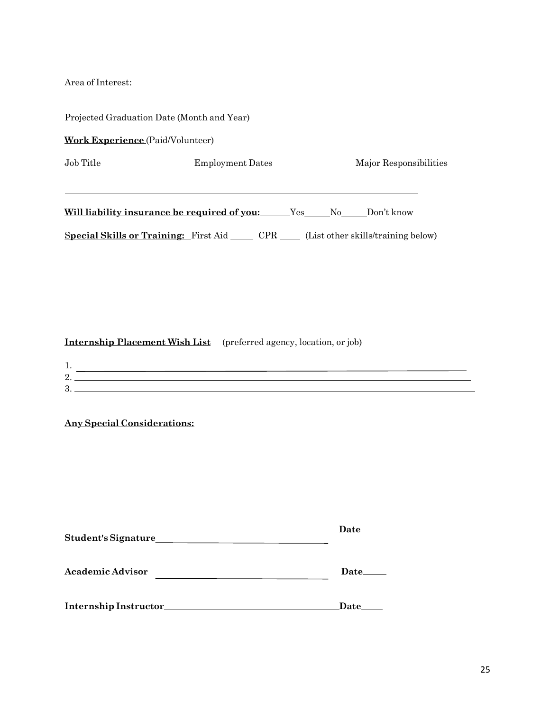Area of Interest:

Projected Graduation Date (Month and Year)

**Work Experience** (Paid/Volunteer)

Job Title Employment Dates Major Responsibilities

**Will liability insurance be required of you:** Yes No Don't know

Special Skills or Training: First Aid CPR (List other skills/training below)

**Internship Placement Wish List** (preferred agency, location, or job)

**Any Special Considerations:**

| Student's Signature     | <b>Date</b>            |
|-------------------------|------------------------|
| <b>Academic Advisor</b> | Date <sub>______</sub> |
|                         | Date                   |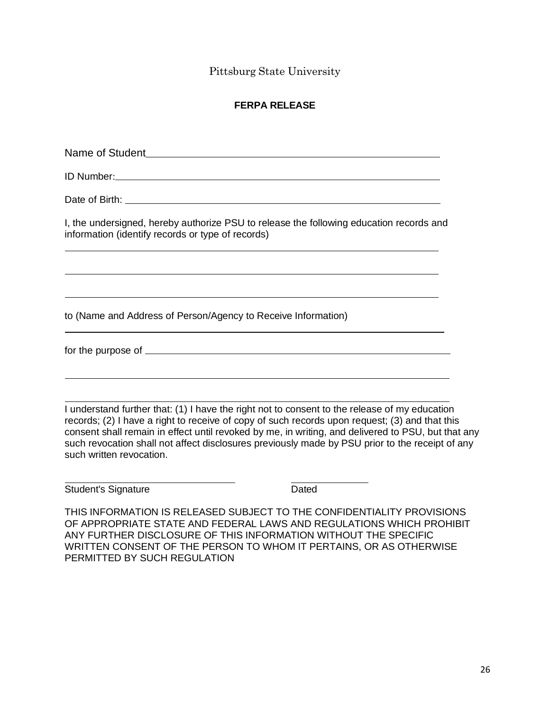Pittsburg State University

# **FERPA RELEASE**

Name of Student<br>
Name of Student ID Number: Date of Birth: I, the undersigned, hereby authorize PSU to release the following education records and information (identify records or type of records) to (Name and Address of Person/Agency to Receive Information) for the purpose of  $\overline{\phantom{a}}$ I understand further that: (1) I have the right not to consent to the release of my education records; (2) I have a right to receive of copy of such records upon request; (3) and that this consent shall remain in effect until revoked by me, in writing, and delivered to PSU, but that any such revocation shall not affect disclosures previously made by PSU prior to the receipt of any such written revocation.

Student's Signature Dated

THIS INFORMATION IS RELEASED SUBJECT TO THE CONFIDENTIALITY PROVISIONS OF APPROPRIATE STATE AND FEDERAL LAWS AND REGULATIONS WHICH PROHIBIT ANY FURTHER DISCLOSURE OF THIS INFORMATION WITHOUT THE SPECIFIC WRITTEN CONSENT OF THE PERSON TO WHOM IT PERTAINS, OR AS OTHERWISE PERMITTED BY SUCH REGULATION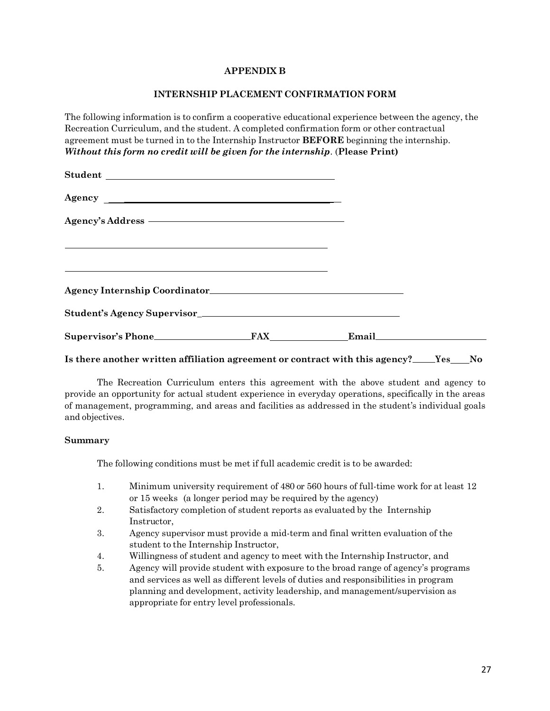#### **APPENDIX B**

#### **INTERNSHIP PLACEMENT CONFIRMATION FORM**

The following information is to confirm a cooperative educational experience between the agency, the Recreation Curriculum, and the student. A completed confirmation form or other contractual agreement must be turned in to the Internship Instructor **BEFORE** beginning the internship. *Without this form no credit will be given for the internship*. (**Please Print)**

| Agency's Address ————————————————————                 |  |            |
|-------------------------------------------------------|--|------------|
|                                                       |  |            |
| <u> 1980 - Johann Stoff, fransk politik (d. 1980)</u> |  |            |
| Agency Internship Coordinator                         |  |            |
|                                                       |  |            |
|                                                       |  | Email 2008 |
|                                                       |  |            |

#### **Is there another written affiliation agreement or contract with this agency? Yes No**

The Recreation Curriculum enters this agreement with the above student and agency to provide an opportunity for actual student experience in everyday operations, specifically in the areas of management, programming, and areas and facilities as addressed in the student's individual goals and objectives.

#### **Summary**

The following conditions must be met if full academic credit is to be awarded:

- 1. Minimum university requirement of 480 or 560 hours of full-time work for at least 12 or 15 weeks (a longer period may be required by the agency)
- 2. Satisfactory completion of student reports as evaluated by the Internship Instructor,
- 3. Agency supervisor must provide a mid-term and final written evaluation of the student to the Internship Instructor,
- 4. Willingness of student and agency to meet with the Internship Instructor, and
- 5. Agency will provide student with exposure to the broad range of agency's programs and services as well as different levels of duties and responsibilities in program planning and development, activity leadership, and management/supervision as appropriate for entry level professionals.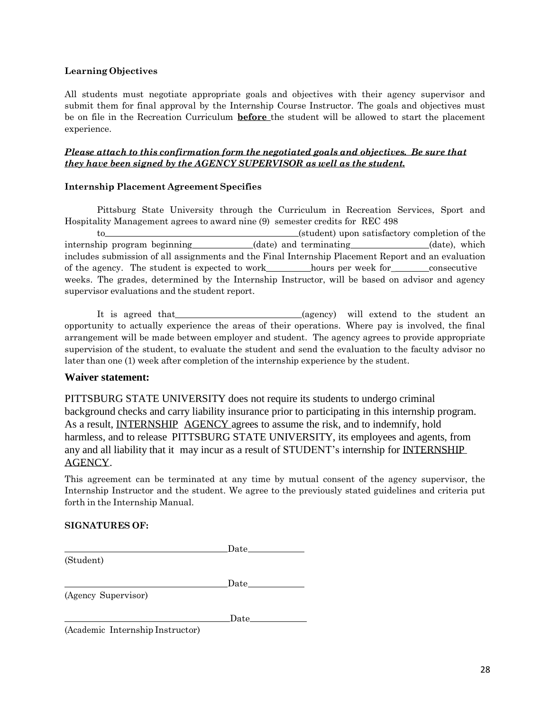#### **Learning Objectives**

All students must negotiate appropriate goals and objectives with their agency supervisor and submit them for final approval by the Internship Course Instructor. The goals and objectives must be on file in the Recreation Curriculum **before** the student will be allowed to start the placement experience.

#### *Please attach to this confirmation form the negotiated goals and objectives. Be sure that they have been signed by the AGENCY SUPERVISOR as well as the student.*

#### **Internship Placement Agreement Specifies**

Pittsburg State University through the Curriculum in Recreation Services, Sport and Hospitality Management agrees to award nine (9) semester credits for REC 498 to (student) upon satisfactory completion of the internship program beginning (date) and terminating (date), which includes submission of all assignments and the Final Internship Placement Report and an evaluation of the agency. The student is expected to work hours per week for consecutive weeks. The grades, determined by the Internship Instructor, will be based on advisor and agency supervisor evaluations and the student report.

It is agreed that (agency) will extend to the student an opportunity to actually experience the areas of their operations. Where pay is involved, the final arrangement will be made between employer and student. The agency agrees to provide appropriate supervision of the student, to evaluate the student and send the evaluation to the faculty advisor no later than one (1) week after completion of the internship experience by the student.

#### **Waiver statement:**

PITTSBURG STATE UNIVERSITY does not require its students to undergo criminal background checks and carry liability insurance prior to participating in this internship program. As a result, INTERNSHIP AGENCY agrees to assume the risk, and to indemnify, hold harmless, and to release PITTSBURG STATE UNIVERSITY, its employees and agents, from any and all liability that it may incur as a result of STUDENT's internship for INTERNSHIP AGENCY.

This agreement can be terminated at any time by mutual consent of the agency supervisor, the Internship Instructor and the student. We agree to the previously stated guidelines and criteria put forth in the Internship Manual.

#### **SIGNATURES OF:**

(Student)

Date

(Agency Supervisor)

Date

Date<sub>\_\_\_\_</sub>

(Academic Internship Instructor)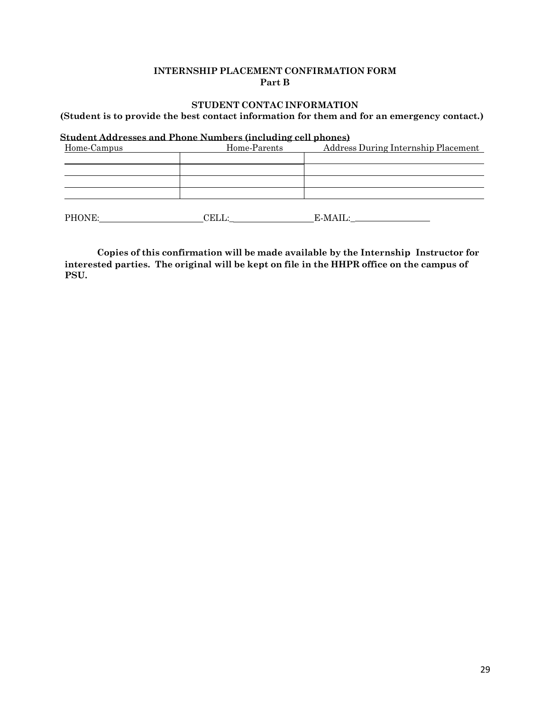## **INTERNSHIP PLACEMENT CONFIRMATION FORM Part B**

#### **STUDENT CONTAC INFORMATION**

**(Student is to provide the best contact information for them and for an emergency contact.)**

#### **Student Addresses and Phone Numbers (including cell phones)**

| Home-Campus | Home-Parents | Address During Internship Placement |
|-------------|--------------|-------------------------------------|
|             |              |                                     |
|             |              |                                     |
|             |              |                                     |
|             |              |                                     |
|             |              |                                     |

PHONE: CELL:\_ E-MAIL:\_

**Copies of this confirmation will be made available by the Internship Instructor for interested parties. The original will be kept on file in the HHPR office on the campus of PSU.**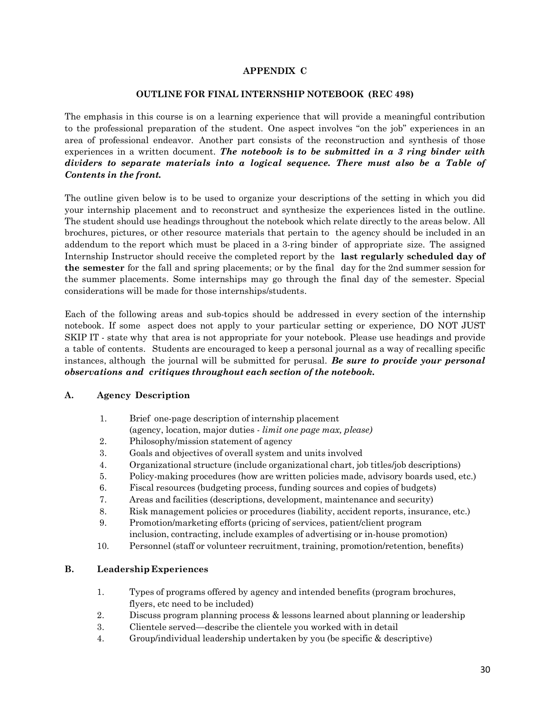#### **APPENDIX C**

#### **OUTLINE FOR FINAL INTERNSHIP NOTEBOOK (REC 498)**

The emphasis in this course is on a learning experience that will provide a meaningful contribution to the professional preparation of the student. One aspect involves "on the job" experiences in an area of professional endeavor. Another part consists of the reconstruction and synthesis of those experiences in a written document. *The notebook is to be submitted in a 3 ring binder with dividers to separate materials into a logical sequence. There must also be a Table of Contents in the front.*

The outline given below is to be used to organize your descriptions of the setting in which you did your internship placement and to reconstruct and synthesize the experiences listed in the outline. The student should use headings throughout the notebook which relate directly to the areas below. All brochures, pictures, or other resource materials that pertain to the agency should be included in an addendum to the report which must be placed in a 3-ring binder of appropriate size. The assigned Internship Instructor should receive the completed report by the **last regularly scheduled day of the semester** for the fall and spring placements; or by the final day for the 2nd summer session for the summer placements. Some internships may go through the final day of the semester. Special considerations will be made for those internships/students.

Each of the following areas and sub-topics should be addressed in every section of the internship notebook. If some aspect does not apply to your particular setting or experience, DO NOT JUST SKIP IT - state why that area is not appropriate for your notebook. Please use headings and provide a table of contents. Students are encouraged to keep a personal journal as a way of recalling specific instances, although the journal will be submitted for perusal. *Be sure to provide your personal observations and critiques throughout each section of the notebook.*

#### **A. Agency Description**

- 1. Brief one-page description of internship placement
	- (agency, location, major duties *limit one page max, please)*
- 2. Philosophy/mission statement of agency
- 3. Goals and objectives of overall system and units involved
- 4. Organizational structure (include organizational chart, job titles/job descriptions)
- 5. Policy-making procedures (how are written policies made, advisory boards used, etc.)
- 6. Fiscal resources (budgeting process, funding sources and copies of budgets)
- 7. Areas and facilities (descriptions, development, maintenance and security)
- 8. Risk management policies or procedures (liability, accident reports, insurance, etc.)
- 9. Promotion/marketing efforts (pricing of services, patient/client program inclusion, contracting, include examples of advertising or in-house promotion)
- 10. Personnel (staff or volunteer recruitment, training, promotion/retention, benefits)

#### **B. Leadership Experiences**

- 1. Types of programs offered by agency and intended benefits (program brochures, flyers, etc need to be included)
- 2. Discuss program planning process & lessons learned about planning or leadership
- 3. Clientele served—describe the clientele you worked with in detail
- 4. Group/individual leadership undertaken by you (be specific & descriptive)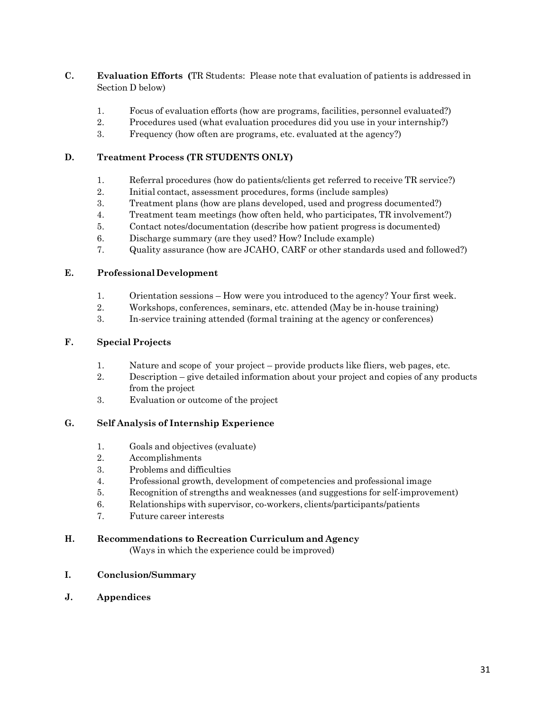- **C. Evaluation Efforts (**TR Students: Please note that evaluation of patients is addressed in Section D below)
	- 1. Focus of evaluation efforts (how are programs, facilities, personnel evaluated?)
	- 2. Procedures used (what evaluation procedures did you use in your internship?)
	- 3. Frequency (how often are programs, etc. evaluated at the agency?)

#### **D. Treatment Process (TR STUDENTS ONLY)**

- 1. Referral procedures (how do patients/clients get referred to receive TR service?)
- 2. Initial contact, assessment procedures, forms (include samples)
- 3. Treatment plans (how are plans developed, used and progress documented?)
- 4. Treatment team meetings (how often held, who participates, TR involvement?)
- 5. Contact notes/documentation (describe how patient progress is documented)
- 6. Discharge summary (are they used? How? Include example)
- 7. Quality assurance (how are JCAHO, CARF or other standards used and followed?)

#### **E. Professional Development**

- 1. Orientation sessions How were you introduced to the agency? Your first week.
- 2. Workshops, conferences, seminars, etc. attended (May be in-house training)
- 3. In-service training attended (formal training at the agency or conferences)

#### **F. Special Projects**

- 1. Nature and scope of your project provide products like fliers, web pages, etc.
- 2. Description give detailed information about your project and copies of any products from the project
- 3. Evaluation or outcome of the project

#### **G. Self Analysis of Internship Experience**

- 1. Goals and objectives (evaluate)
- 2. Accomplishments
- 3. Problems and difficulties
- 4. Professional growth, development of competencies and professional image
- 5. Recognition of strengths and weaknesses (and suggestions for self-improvement)
- 6. Relationships with supervisor, co-workers, clients/participants/patients
- 7. Future career interests

# **H. Recommendations to Recreation Curriculum and Agency**

(Ways in which the experience could be improved)

- **I. Conclusion/Summary**
- **J. Appendices**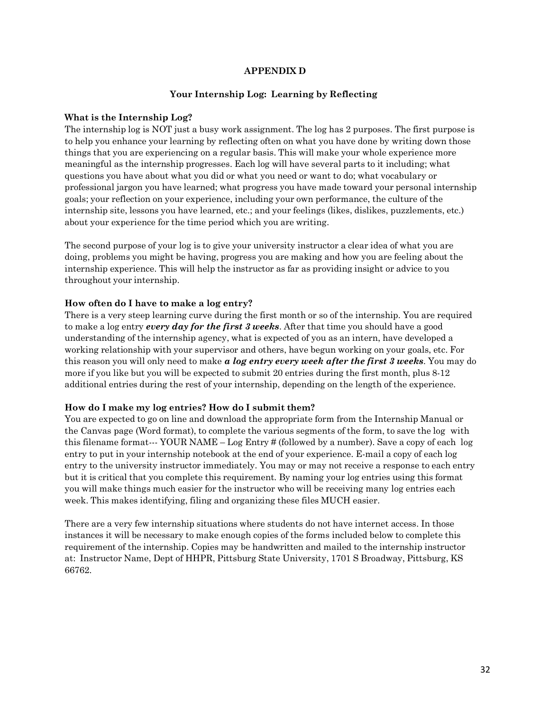#### **APPENDIX D**

#### **Your Internship Log: Learning by Reflecting**

#### **What is the Internship Log?**

The internship log is NOT just a busy work assignment. The log has 2 purposes. The first purpose is to help you enhance your learning by reflecting often on what you have done by writing down those things that you are experiencing on a regular basis. This will make your whole experience more meaningful as the internship progresses. Each log will have several parts to it including; what questions you have about what you did or what you need or want to do; what vocabulary or professional jargon you have learned; what progress you have made toward your personal internship goals; your reflection on your experience, including your own performance, the culture of the internship site, lessons you have learned, etc.; and your feelings (likes, dislikes, puzzlements, etc.) about your experience for the time period which you are writing.

The second purpose of your log is to give your university instructor a clear idea of what you are doing, problems you might be having, progress you are making and how you are feeling about the internship experience. This will help the instructor as far as providing insight or advice to you throughout your internship.

#### **How often do I have to make a log entry?**

There is a very steep learning curve during the first month or so of the internship. You are required to make a log entry *every day for the first 3 weeks*. After that time you should have a good understanding of the internship agency, what is expected of you as an intern, have developed a working relationship with your supervisor and others, have begun working on your goals, etc. For this reason you will only need to make *a log entry every week after the first 3 weeks*. You may do more if you like but you will be expected to submit 20 entries during the first month, plus 8-12 additional entries during the rest of your internship, depending on the length of the experience.

#### **How do I make my log entries? How do I submit them?**

You are expected to go on line and download the appropriate form from the Internship Manual or the Canvas page (Word format), to complete the various segments of the form, to save the log with this filename format--- YOUR NAME – Log Entry # (followed by a number). Save a copy of each log entry to put in your internship notebook at the end of your experience. E-mail a copy of each log entry to the university instructor immediately. You may or may not receive a response to each entry but it is critical that you complete this requirement. By naming your log entries using this format you will make things much easier for the instructor who will be receiving many log entries each week. This makes identifying, filing and organizing these files MUCH easier.

There are a very few internship situations where students do not have internet access. In those instances it will be necessary to make enough copies of the forms included below to complete this requirement of the internship. Copies may be handwritten and mailed to the internship instructor at: Instructor Name, Dept of HHPR, Pittsburg State University, 1701 S Broadway, Pittsburg, KS 66762.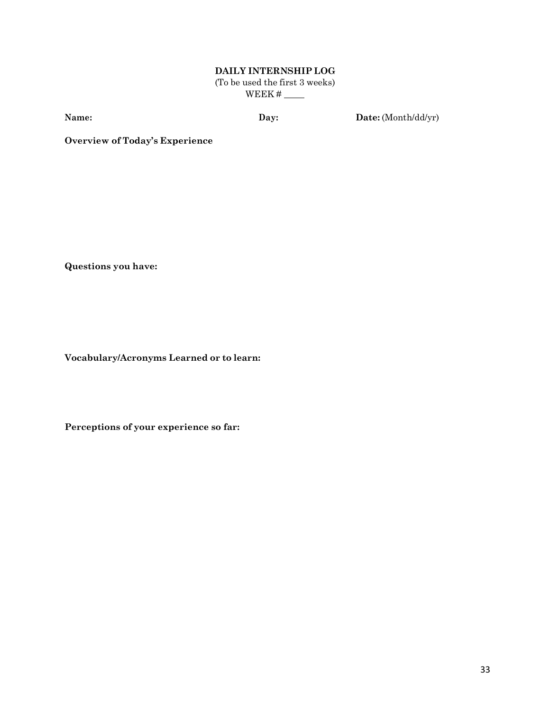# **DAILY INTERNSHIP LOG**

(To be used the first 3 weeks) WEEK  $\#$ 

**Name: Day: Date:** (Month/dd/yr)

**Overview of Today's Experience**

**Questions you have:**

**Vocabulary/Acronyms Learned or to learn:**

**Perceptions of your experience so far:**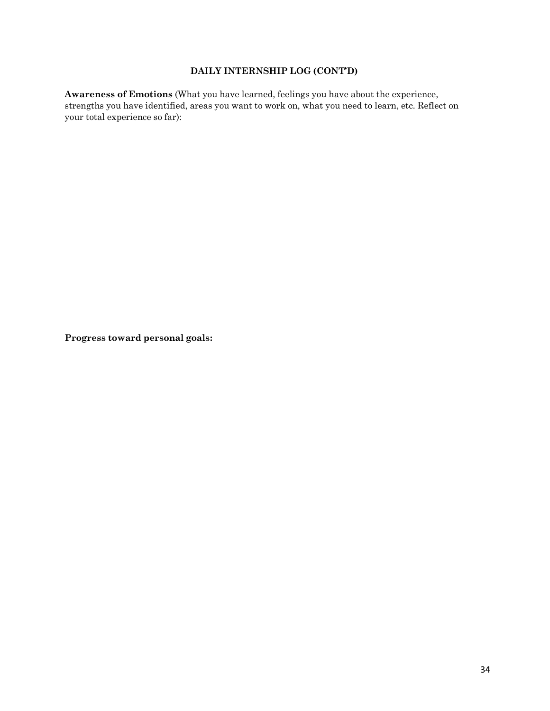# **DAILY INTERNSHIP LOG (CONT'D)**

**Awareness of Emotions** (What you have learned, feelings you have about the experience, strengths you have identified, areas you want to work on, what you need to learn, etc. Reflect on your total experience so far):

**Progress toward personal goals:**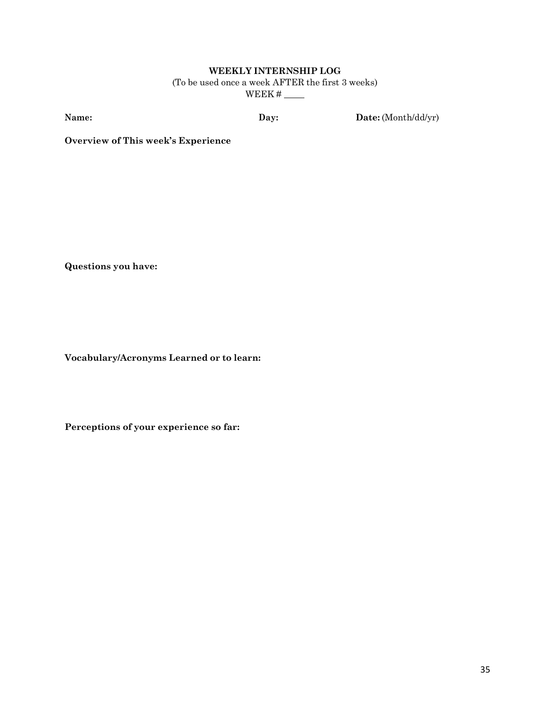# **WEEKLY INTERNSHIP LOG**

(To be used once a week AFTER the first 3 weeks) WEEK  $\#$ 

**Name: Day: Date:** (Month/dd/yr)

**Overview of This week's Experience**

**Questions you have:**

**Vocabulary/Acronyms Learned or to learn:**

**Perceptions of your experience so far:**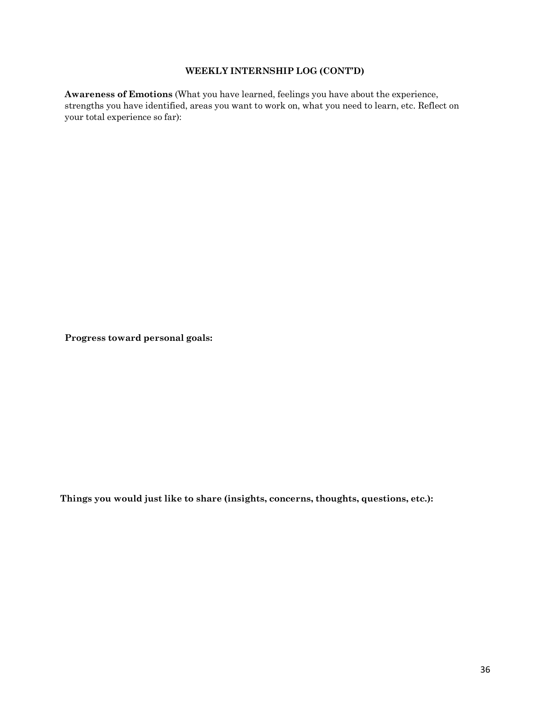# **WEEKLY INTERNSHIP LOG (CONT'D)**

**Awareness of Emotions** (What you have learned, feelings you have about the experience, strengths you have identified, areas you want to work on, what you need to learn, etc. Reflect on your total experience so far):

**Progress toward personal goals:**

**Things you would just like to share (insights, concerns, thoughts, questions, etc.):**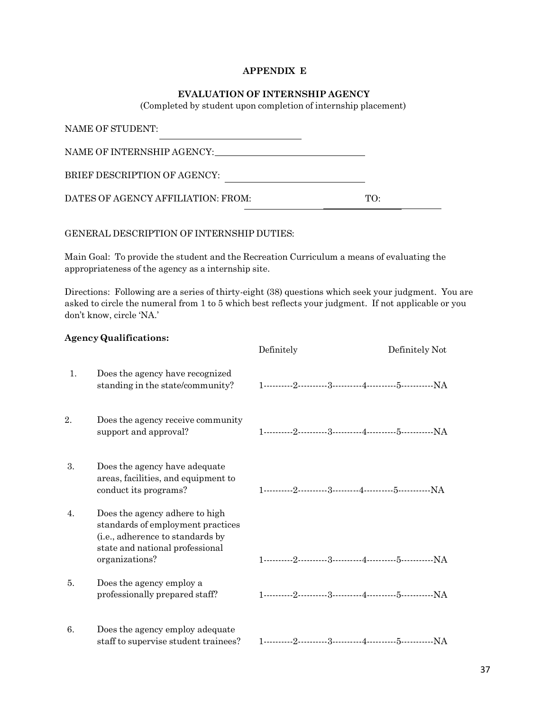#### **APPENDIX E**

# **EVALUATION OF INTERNSHIP AGENCY**

(Completed by student upon completion of internship placement)

| NAME OF STUDENT:                   |     |
|------------------------------------|-----|
| NAME OF INTERNSHIP AGENCY:         |     |
| BRIEF DESCRIPTION OF AGENCY:       |     |
| DATES OF AGENCY AFFILIATION: FROM: | TO: |

#### GENERAL DESCRIPTION OF INTERNSHIP DUTIES:

Main Goal: To provide the student and the Recreation Curriculum a means of evaluating the appropriateness of the agency as a internship site.

Directions: Following are a series of thirty-eight (38) questions which seek your judgment. You are asked to circle the numeral from 1 to 5 which best reflects your judgment. If not applicable or you don't know, circle 'NA.'

#### **Agency Qualifications:**

|    |                                                                                                                                                              | Definitely | Definitely Not |
|----|--------------------------------------------------------------------------------------------------------------------------------------------------------------|------------|----------------|
| 1. | Does the agency have recognized<br>standing in the state/community?                                                                                          |            |                |
| 2. | Does the agency receive community<br>support and approval?                                                                                                   |            |                |
| 3. | Does the agency have adequate<br>areas, facilities, and equipment to<br>conduct its programs?                                                                |            |                |
| 4. | Does the agency adhere to high<br>standards of employment practices<br>(i.e., adherence to standards by<br>state and national professional<br>organizations? |            |                |
| 5. | Does the agency employ a<br>professionally prepared staff?                                                                                                   |            |                |
| 6. | Does the agency employ adequate<br>staff to supervise student trainees?                                                                                      |            |                |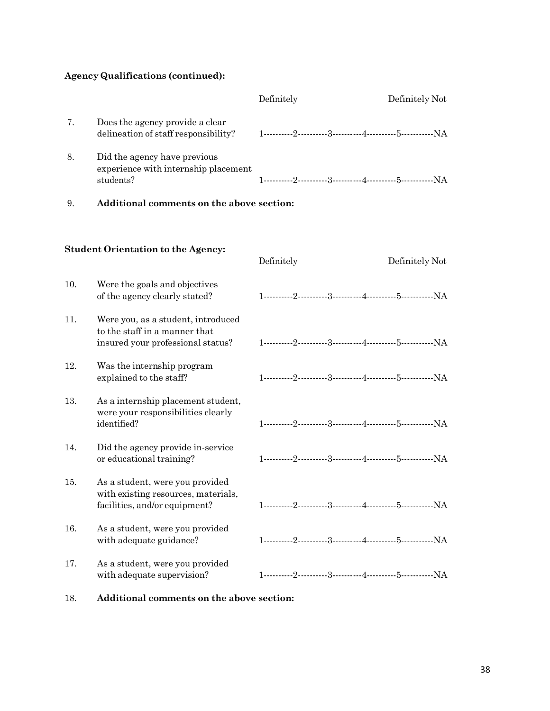**Agency Qualifications (continued):**

|    |                                                                                   | Definitely | Definitely Not |
|----|-----------------------------------------------------------------------------------|------------|----------------|
|    | Does the agency provide a clear<br>delineation of staff responsibility?           |            |                |
| 8. | Did the agency have previous<br>experience with internship placement<br>students? |            |                |

9. **Additional comments on the above section:**

# **Student Orientation to the Agency:**

|     | $\frac{1}{2}$                                                                                            | Definitely | Definitely Not |
|-----|----------------------------------------------------------------------------------------------------------|------------|----------------|
| 10. | Were the goals and objectives<br>of the agency clearly stated?                                           |            |                |
| 11. | Were you, as a student, introduced<br>to the staff in a manner that<br>insured your professional status? |            |                |
| 12. | Was the internship program<br>explained to the staff?                                                    |            |                |
| 13. | As a internship placement student,<br>were your responsibilities clearly<br>identified?                  |            |                |
| 14. | Did the agency provide in-service<br>or educational training?                                            |            |                |
| 15. | As a student, were you provided<br>with existing resources, materials,<br>facilities, and/or equipment?  |            |                |
| 16. | As a student, were you provided<br>with adequate guidance?                                               |            |                |
| 17. | As a student, were you provided<br>with adequate supervision?                                            |            |                |

# 18. **Additional comments on the above section:**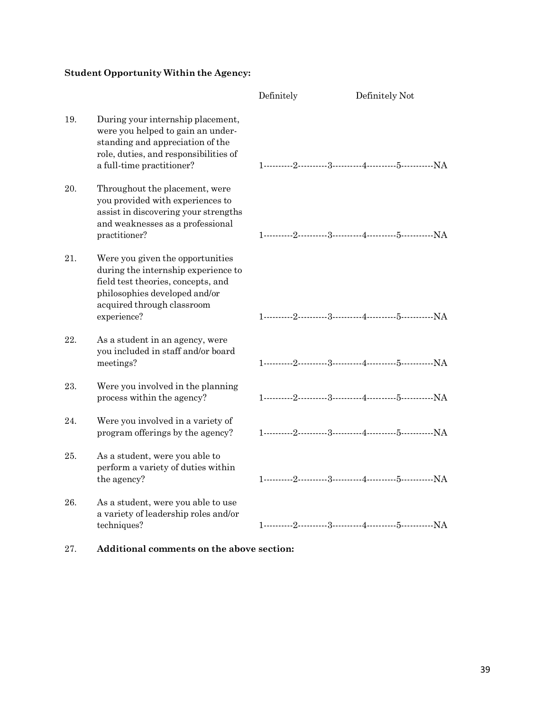# **Student Opportunity Within the Agency:**

|     |                                                                                                                                                                                             | Definitely | Definitely Not |
|-----|---------------------------------------------------------------------------------------------------------------------------------------------------------------------------------------------|------------|----------------|
| 19. | During your internship placement,<br>were you helped to gain an under-<br>standing and appreciation of the<br>role, duties, and responsibilities of<br>a full-time practitioner?            |            |                |
| 20. | Throughout the placement, were<br>you provided with experiences to<br>assist in discovering your strengths<br>and weaknesses as a professional<br>practitioner?                             |            |                |
| 21. | Were you given the opportunities<br>during the internship experience to<br>field test theories, concepts, and<br>philosophies developed and/or<br>acquired through classroom<br>experience? |            |                |
| 22. | As a student in an agency, were<br>you included in staff and/or board<br>meetings?                                                                                                          |            |                |
| 23. | Were you involved in the planning<br>process within the agency?                                                                                                                             |            |                |
| 24. | Were you involved in a variety of<br>program offerings by the agency?                                                                                                                       |            |                |
| 25. | As a student, were you able to<br>perform a variety of duties within<br>the agency?                                                                                                         |            |                |
| 26. | As a student, were you able to use<br>a variety of leadership roles and/or<br>techniques?                                                                                                   |            |                |

27. **Additional comments on the above section:**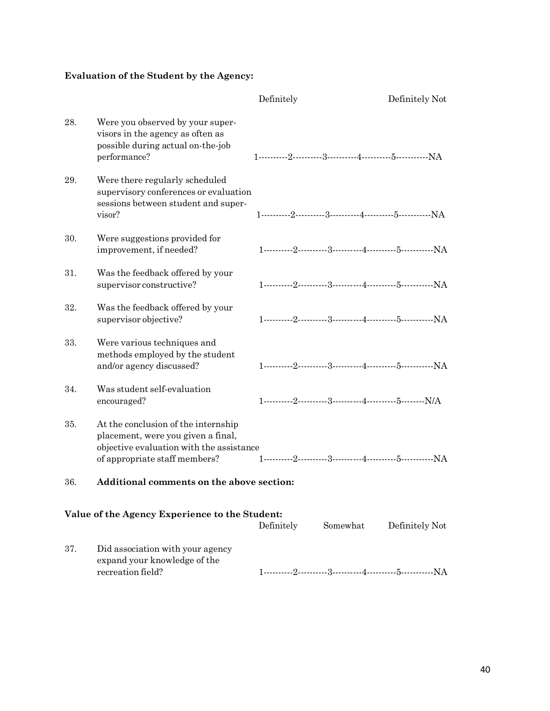# **Evaluation of the Student by the Agency:**

|     |                                                                                                                                                        | Definitely             | Definitely Not |
|-----|--------------------------------------------------------------------------------------------------------------------------------------------------------|------------------------|----------------|
| 28. | Were you observed by your super-<br>visors in the agency as often as<br>possible during actual on-the-job<br>performance?                              |                        |                |
| 29. | Were there regularly scheduled<br>supervisory conferences or evaluation<br>sessions between student and super-<br>visor?                               |                        |                |
| 30. | Were suggestions provided for<br>improvement, if needed?                                                                                               |                        |                |
| 31. | Was the feedback offered by your<br>supervisor constructive?                                                                                           |                        |                |
| 32. | Was the feedback offered by your<br>supervisor objective?                                                                                              |                        |                |
| 33. | Were various techniques and<br>methods employed by the student<br>and/or agency discussed?                                                             |                        |                |
| 34. | Was student self-evaluation<br>encouraged?                                                                                                             |                        |                |
| 35. | At the conclusion of the internship<br>placement, were you given a final,<br>objective evaluation with the assistance<br>of appropriate staff members? |                        |                |
| 36. | Additional comments on the above section:                                                                                                              |                        |                |
|     | Value of the Agency Experience to the Student:                                                                                                         | Definitely<br>Somewhat | Definitely Not |
| 37. | Did association with your agency<br>expand your knowledge of the<br>recreation field?                                                                  |                        |                |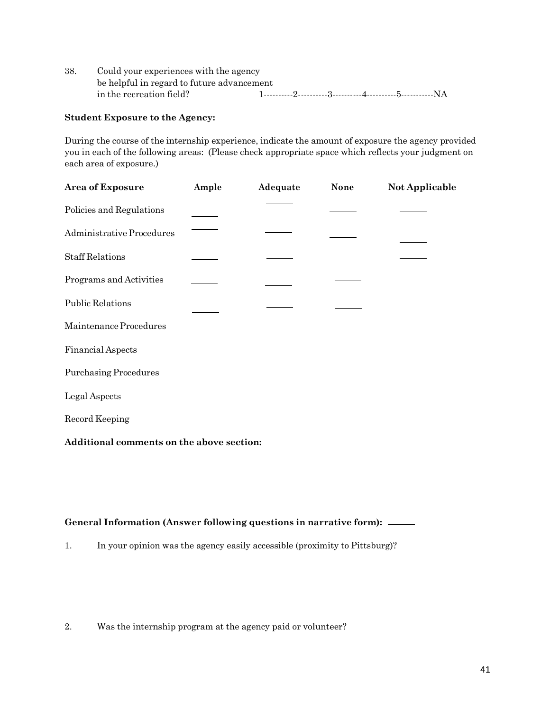| 38. | Could your experiences with the agency     |  |  |  |
|-----|--------------------------------------------|--|--|--|
|     | be helpful in regard to future advancement |  |  |  |
|     | in the recreation field?                   |  |  |  |

#### **Student Exposure to the Agency:**

During the course of the internship experience, indicate the amount of exposure the agency provided you in each of the following areas: (Please check appropriate space which reflects your judgment on each area of exposure.)

| <b>Area of Exposure</b>                   | Ample | Adequate | None | Not Applicable |
|-------------------------------------------|-------|----------|------|----------------|
| Policies and Regulations                  |       |          |      |                |
| Administrative Procedures                 |       |          |      |                |
| <b>Staff Relations</b>                    |       |          |      |                |
| Programs and Activities                   |       |          |      |                |
| <b>Public Relations</b>                   |       |          |      |                |
| Maintenance Procedures                    |       |          |      |                |
| Financial Aspects                         |       |          |      |                |
| <b>Purchasing Procedures</b>              |       |          |      |                |
| Legal Aspects                             |       |          |      |                |
| Record Keeping                            |       |          |      |                |
| Additional comments on the above section: |       |          |      |                |

#### **General Information (Answer following questions in narrative form):**

1. In your opinion was the agency easily accessible (proximity to Pittsburg)?

2. Was the internship program at the agency paid or volunteer?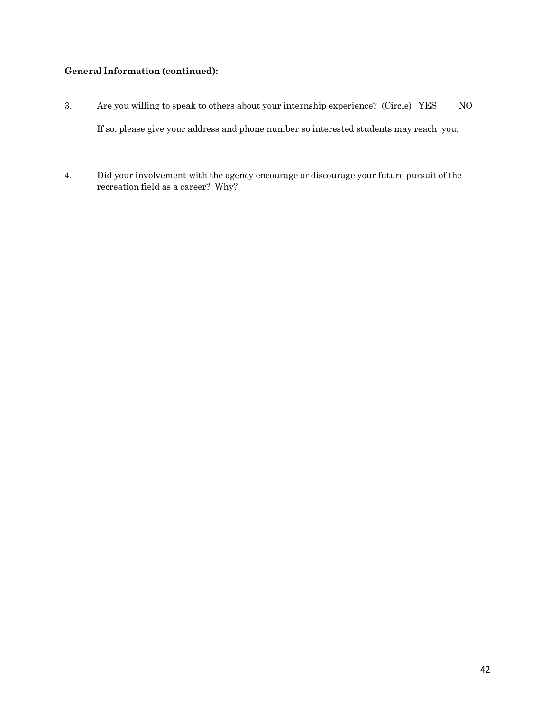# **General Information (continued):**

- 3. Are you willing to speak to others about your internship experience? (Circle) YES NO If so, please give your address and phone number so interested students may reach you:
- 4. Did your involvement with the agency encourage or discourage your future pursuit of the recreation field as a career? Why?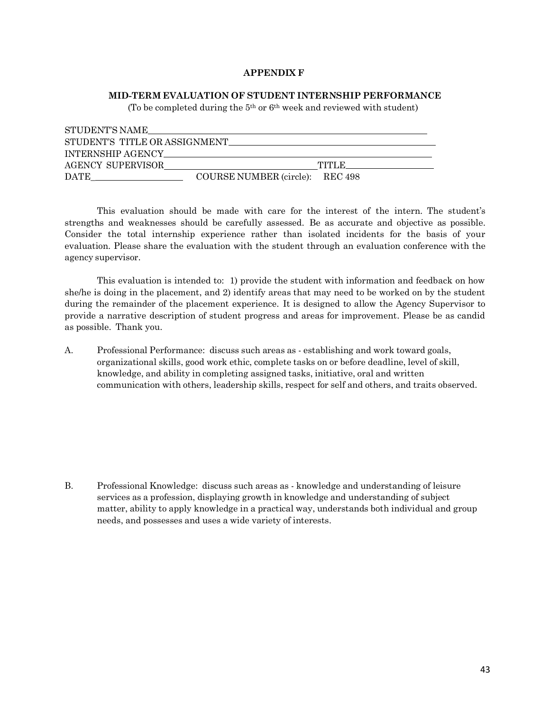#### **APPENDIX F**

#### **MID-TERM EVALUATION OF STUDENT INTERNSHIP PERFORMANCE**

(To be completed during the  $5<sup>th</sup>$  or  $6<sup>th</sup>$  week and reviewed with student)

| STUDENT'S NAME                |                                 |        |
|-------------------------------|---------------------------------|--------|
| STUDENT'S TITLE OR ASSIGNMENT |                                 |        |
| INTERNSHIP AGENCY             |                                 |        |
| AGENCY SUPERVISOR             |                                 | TITLE. |
| DATE <b>DATE</b>              | COURSE NUMBER (circle): REC 498 |        |

This evaluation should be made with care for the interest of the intern. The student's strengths and weaknesses should be carefully assessed. Be as accurate and objective as possible. Consider the total internship experience rather than isolated incidents for the basis of your evaluation. Please share the evaluation with the student through an evaluation conference with the agency supervisor.

This evaluation is intended to: 1) provide the student with information and feedback on how she/he is doing in the placement, and 2) identify areas that may need to be worked on by the student during the remainder of the placement experience. It is designed to allow the Agency Supervisor to provide a narrative description of student progress and areas for improvement. Please be as candid as possible. Thank you.

A. Professional Performance: discuss such areas as - establishing and work toward goals, organizational skills, good work ethic, complete tasks on or before deadline, level of skill, knowledge, and ability in completing assigned tasks, initiative, oral and written communication with others, leadership skills, respect for self and others, and traits observed.

B. Professional Knowledge: discuss such areas as - knowledge and understanding of leisure services as a profession, displaying growth in knowledge and understanding of subject matter, ability to apply knowledge in a practical way, understands both individual and group needs, and possesses and uses a wide variety of interests.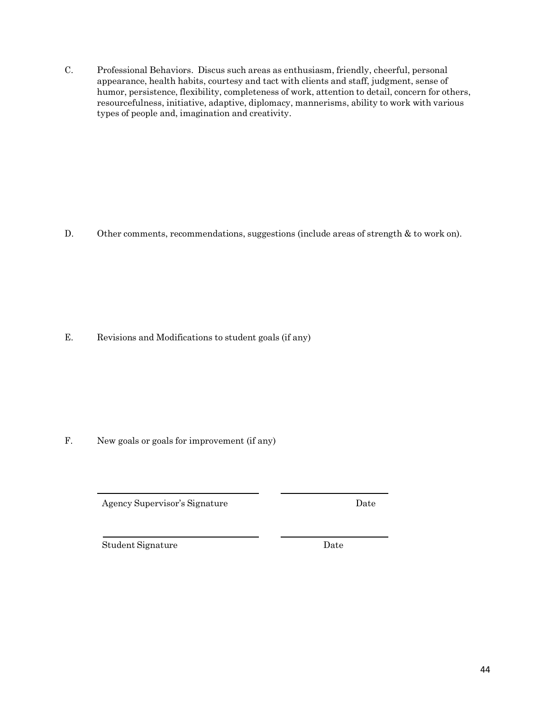C. Professional Behaviors. Discus such areas as enthusiasm, friendly, cheerful, personal appearance, health habits, courtesy and tact with clients and staff, judgment, sense of humor, persistence, flexibility, completeness of work, attention to detail, concern for others, resourcefulness, initiative, adaptive, diplomacy, mannerisms, ability to work with various types of people and, imagination and creativity.

D. Other comments, recommendations, suggestions (include areas of strength & to work on).

E. Revisions and Modifications to student goals (if any)

F. New goals or goals for improvement (if any)

Agency Supervisor's Signature Date

Student Signature Date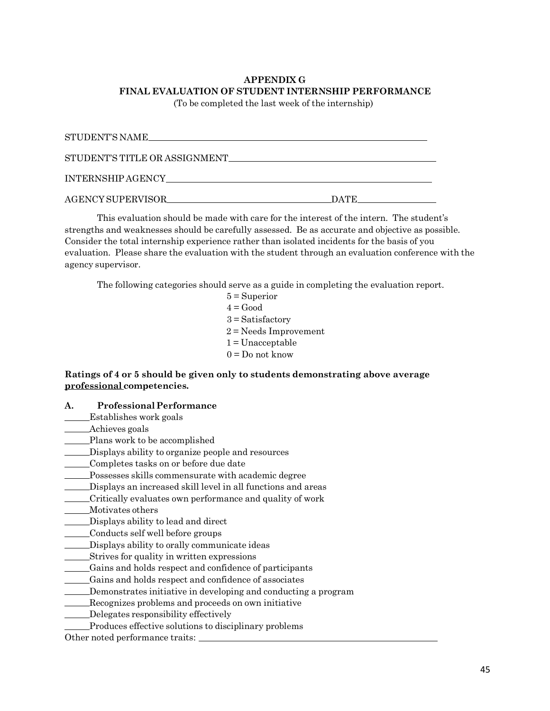# **APPENDIX G FINAL EVALUATION OF STUDENT INTERNSHIP PERFORMANCE**

(To be completed the last week of the internship)

| STUDENT'S NAME    |       |
|-------------------|-------|
|                   |       |
| INTERNSHIP AGENCY |       |
| AGENCY SUPERVISOR | DATE. |

This evaluation should be made with care for the interest of the intern. The student's strengths and weaknesses should be carefully assessed. Be as accurate and objective as possible. Consider the total internship experience rather than isolated incidents for the basis of you evaluation. Please share the evaluation with the student through an evaluation conference with the agency supervisor.

The following categories should serve as a guide in completing the evaluation report.

5 = Superior  $4 = Good$ 3 = Satisfactory 2 = Needs Improvement  $1 =$ Unacceptable  $0 = Do$  not know

#### **Ratings of 4 or 5 should be given only to students demonstrating above average professionalcompetencies.**

#### **A. Professional Performance**

Establishes work goals

Achieves goals

Plans work to be accomplished

Displays ability to organize people and resources

Completes tasks on or before due date

Possesses skills commensurate with academic degree

Displays an increased skill level in all functions and areas

Critically evaluates own performance and quality of work

Motivates others

Displays ability to lead and direct

Conducts self well before groups

Displays ability to orally communicate ideas

Strives for quality in written expressions

Gains and holds respect and confidence of participants

Gains and holds respect and confidence of associates

Demonstrates initiative in developing and conducting a program

Recognizes problems and proceeds on own initiative

Delegates responsibility effectively

Produces effective solutions to disciplinary problems

Other noted performance traits: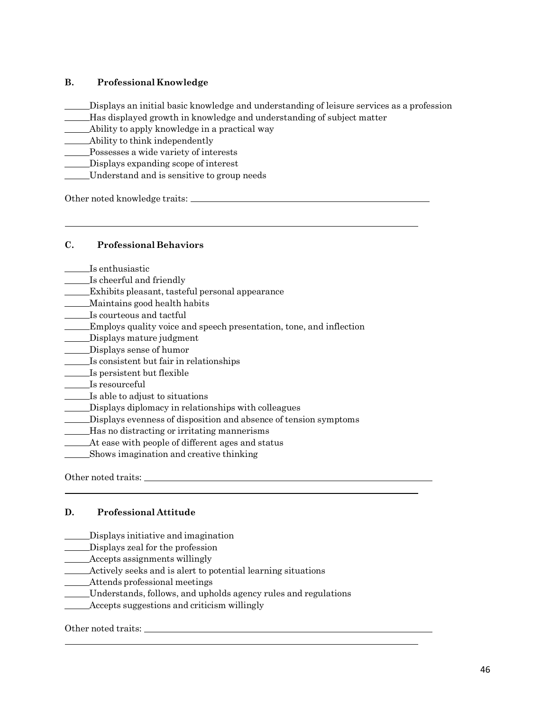#### **B. Professional Knowledge**

- Displays an initial basic knowledge and understanding of leisure services as a profession
- Has displayed growth in knowledge and understanding of subject matter
- Ability to apply knowledge in a practical way
- Ability to think independently
- Possesses a wide variety of interests
- Displays expanding scope of interest
- Understand and is sensitive to group needs

Other noted knowledge traits:

#### **C. Professional Behaviors**

- Is enthusiastic
- Is cheerful and friendly
- Exhibits pleasant, tasteful personal appearance
- Maintains good health habits
- Is courteous and tactful
- Employs quality voice and speech presentation, tone, and inflection
- Displays mature judgment
- Displays sense of humor
- Is consistent but fair in relationships
- Is persistent but flexible
- Is resourceful
- Is able to adjust to situations
- Displays diplomacy in relationships with colleagues
- Displays evenness of disposition and absence of tension symptoms
- Has no distracting or irritating mannerisms
- At ease with people of different ages and status
- Shows imagination and creative thinking

Other noted traits:

# **D. Professional Attitude**

- Displays initiative and imagination
- Displays zeal for the profession
- **Example 2** Accepts assignments willingly
- Actively seeks and is alert to potential learning situations
- Attends professional meetings
- Understands, follows, and upholds agency rules and regulations
- Accepts suggestions and criticism willingly

# Other noted traits: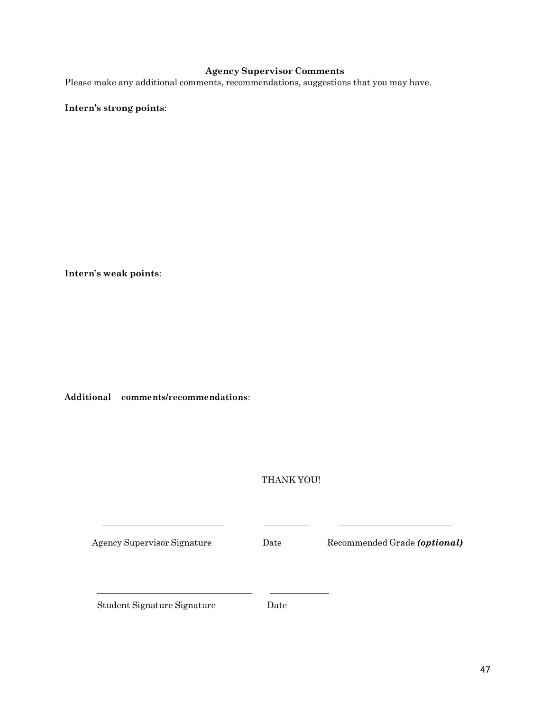# **Agency Supervisor Comments**

Please make any additional comments, recommendations, suggestions that you may have.

**Intern's strong points**:

**Intern's weak points**:

**Additional comments/recommendations**:

THANK YOU!

| Agency Supervisor Signature | Date | Recommended Grade (optional) |
|-----------------------------|------|------------------------------|
|                             |      |                              |
| Student Signature Signature | Date |                              |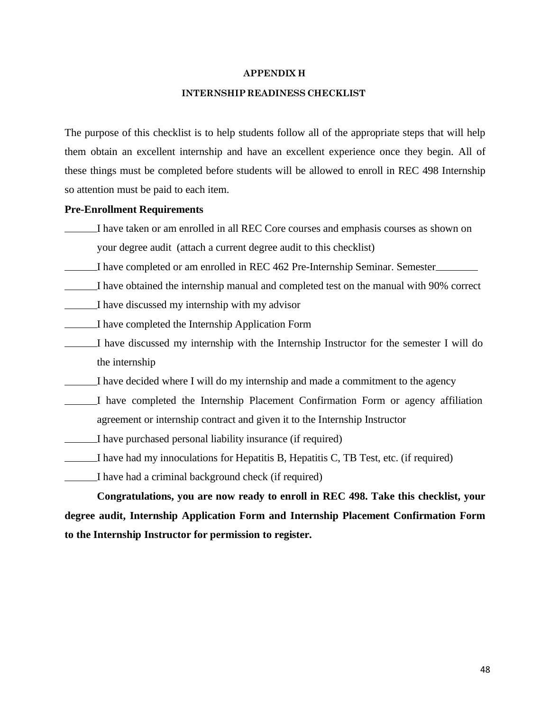#### **APPENDIX H**

#### **INTERNSHIP READINESS CHECKLIST**

The purpose of this checklist is to help students follow all of the appropriate steps that will help them obtain an excellent internship and have an excellent experience once they begin. All of these things must be completed before students will be allowed to enroll in REC 498 Internship so attention must be paid to each item.

#### **Pre-Enrollment Requirements**

- I have taken or am enrolled in all REC Core courses and emphasis courses as shown on your degree audit (attach a current degree audit to this checklist)
- I have completed or am enrolled in REC 462 Pre-Internship Seminar. Semester
- I have obtained the internship manual and completed test on the manual with 90% correct
- I have discussed my internship with my advisor
- I have completed the Internship Application Form
- I have discussed my internship with the Internship Instructor for the semester I will do the internship
- I have decided where I will do my internship and made a commitment to the agency
- I have completed the Internship Placement Confirmation Form or agency affiliation agreement or internship contract and given it to the Internship Instructor
- I have purchased personal liability insurance (if required)
- I have had my innoculations for Hepatitis B, Hepatitis C, TB Test, etc. (if required)
- I have had a criminal background check (if required)

**Congratulations, you are now ready to enroll in REC 498. Take this checklist, your degree audit, Internship Application Form and Internship Placement Confirmation Form to the Internship Instructor for permission to register.**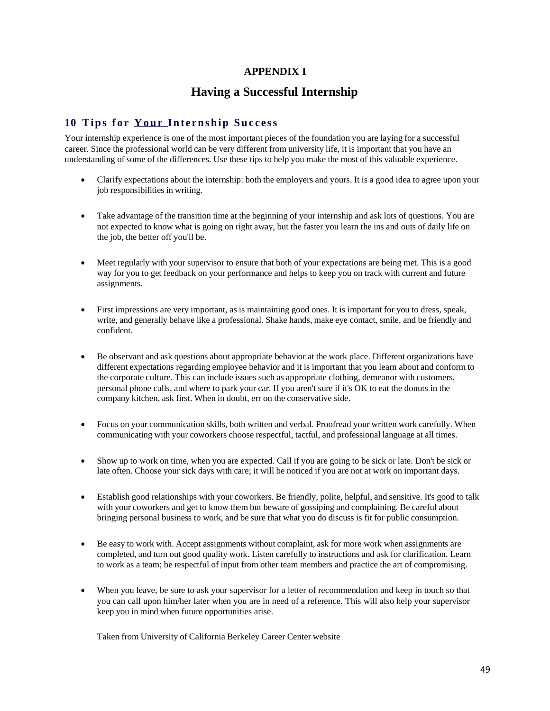# **APPENDIX I**

# **Having a Successful Internship**

# 10 Tips for Your Internship Success

Your internship experience is one of the most important pieces of the foundation you are laying for a successful career. Since the professional world can be very different from university life, it is important that you have an understanding ofsome of the differences. Use these tips to help you make the most of this valuable experience.

- Clarify expectations about the internship: both the employers and yours. It is a good idea to agree upon your job responsibilities in writing.
- Take advantage of the transition time at the beginning of your internship and ask lots of questions. You are not expected to know what is going on right away, but the faster you learn the ins and outs of daily life on the job, the better off you'll be.
- Meet regularly with your supervisor to ensure that both of your expectations are being met. This is a good way for you to get feedback on your performance and helps to keep you on track with current and future assignments.
- First impressions are very important, as is maintaining good ones. It is important for you to dress, speak, write, and generally behave like a professional. Shake hands, make eye contact, smile, and be friendly and confident.
- Be observant and ask questions about appropriate behavior at the work place. Different organizations have different expectations regarding employee behavior and it is important that you learn about and conform to the corporate culture. This can include issues such as appropriate clothing, demeanor with customers, personal phone calls, and where to park your car. If you aren't sure if it's OK to eat the donuts in the company kitchen, ask first. When in doubt, err on the conservative side.
- Focus on your communication skills, both written and verbal. Proofread your written work carefully. When communicating with your coworkers choose respectful, tactful, and professionallanguage at all times.
- Show up to work on time, when you are expected. Call if you are going to be sick or late. Don't be sick or late often. Choose your sick days with care; it will be noticed if you are not at work on important days.
- Establish good relationships with your coworkers. Be friendly, polite, helpful, and sensitive. It's good to talk with your coworkers and get to know them but beware of gossiping and complaining. Be careful about bringing personal business to work, and be sure that what you do discuss is fit for public consumption.
- Be easy to work with. Accept assignments without complaint, ask for more work when assignments are completed, and turn out good quality work. Listen carefully to instructions and ask for clarification. Learn to work as a team; be respectful of input from other team members and practice the art of compromising.
- When you leave, be sure to ask your supervisor for a letter of recommendation and keep in touch so that you can call upon him/her later when you are in need of a reference. This will also help your supervisor keep you in mind when future opportunities arise.

Taken from University of California Berkeley Career Center website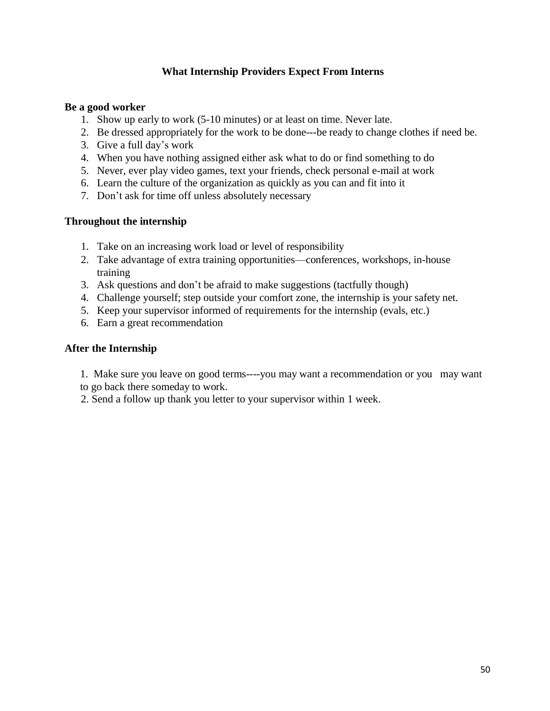# **What Internship Providers Expect From Interns**

# **Be a good worker**

- 1. Show up early to work (5-10 minutes) or at least on time. Never late.
- 2. Be dressed appropriately for the work to be done---be ready to change clothes if need be.
- 3. Give a full day's work
- 4. When you have nothing assigned either ask what to do or find something to do
- 5. Never, ever play video games, text your friends, check personal e-mail at work
- 6. Learn the culture of the organization as quickly as you can and fit into it
- 7. Don't ask for time off unless absolutely necessary

# **Throughout the internship**

- 1. Take on an increasing work load or level of responsibility
- 2. Take advantage of extra training opportunities—conferences, workshops, in-house training
- 3. Ask questions and don't be afraid to make suggestions (tactfully though)
- 4. Challenge yourself; step outside your comfort zone, the internship is your safety net.
- 5. Keep your supervisor informed of requirements for the internship (evals, etc.)
- 6. Earn a great recommendation

# **After the Internship**

- 1. Make sure you leave on good terms----you may want a recommendation or you may want
- to go back there someday to work.
- 2. Send a follow up thank you letter to your supervisor within 1 week.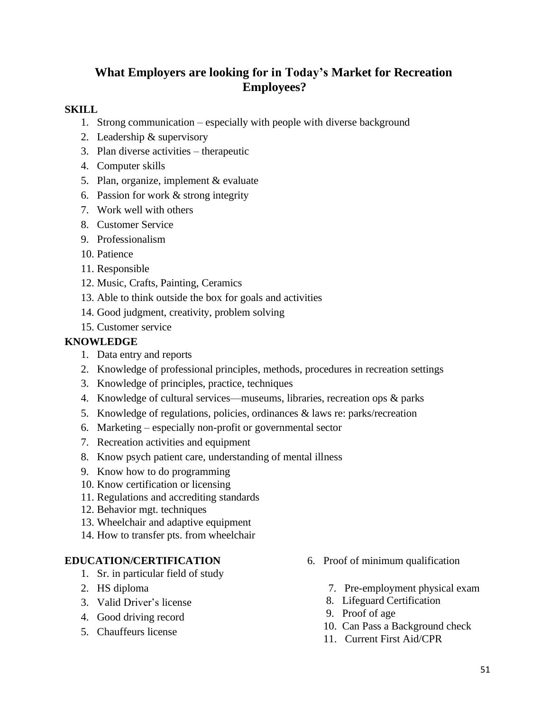# **What Employers are looking for in Today's Market for Recreation Employees?**

# **SKILL**

- 1. Strong communication especially with people with diverse background
- 2. Leadership & supervisory
- 3. Plan diverse activities therapeutic
- 4. Computer skills
- 5. Plan, organize, implement & evaluate
- 6. Passion for work & strong integrity
- 7. Work well with others
- 8. Customer Service
- 9. Professionalism
- 10. Patience
- 11. Responsible
- 12. Music, Crafts, Painting, Ceramics
- 13. Able to think outside the box for goals and activities
- 14. Good judgment, creativity, problem solving
- 15. Customer service

# **KNOWLEDGE**

- 1. Data entry and reports
- 2. Knowledge of professional principles, methods, procedures in recreation settings
- 3. Knowledge of principles, practice, techniques
- 4. Knowledge of cultural services—museums, libraries, recreation ops & parks
- 5. Knowledge of regulations, policies, ordinances & laws re: parks/recreation
- 6. Marketing especially non-profit or governmental sector
- 7. Recreation activities and equipment
- 8. Know psych patient care, understanding of mental illness
- 9. Know how to do programming
- 10. Know certification or licensing
- 11. Regulations and accrediting standards
- 12. Behavior mgt. techniques
- 13. Wheelchair and adaptive equipment
- 14. How to transfer pts. from wheelchair

# **EDUCATION/CERTIFICATION**

- 1. Sr. in particular field of study
- 2. HS diploma
- 3. Valid Driver's license
- 4. Good driving record
- 5. Chauffeurs license
- 6. Proof of minimum qualification
	- 7. Pre-employment physical exam
	- 8. Lifeguard Certification
	- 9. Proof of age
	- 10. Can Pass a Background check
	- 11. Current First Aid/CPR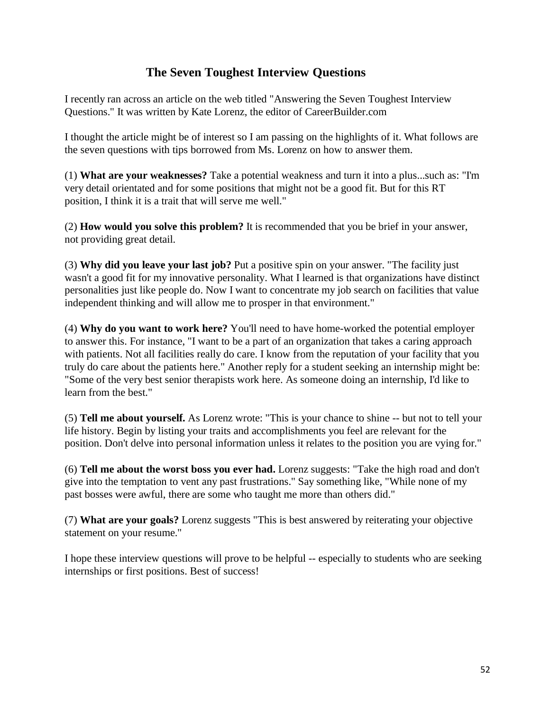# **The Seven Toughest Interview Questions**

I recently ran across an article on the web titled "Answering the Seven Toughest Interview Questions." It was written by Kate Lorenz, the editor of CareerBuilder.com

I thought the article might be of interest so I am passing on the highlights of it. What follows are the seven questions with tips borrowed from Ms. Lorenz on how to answer them.

(1) **What are your weaknesses?** Take a potential weakness and turn it into a plus...such as: "I'm very detail orientated and for some positions that might not be a good fit. But for this RT position, I think it is a trait that will serve me well."

(2) **How would you solve this problem?** It is recommended that you be brief in your answer, not providing great detail.

(3) **Why did you leave your last job?** Put a positive spin on your answer. "The facility just wasn't a good fit for my innovative personality. What I learned is that organizations have distinct personalities just like people do. Now I want to concentrate my job search on facilities that value independent thinking and will allow me to prosper in that environment."

(4) **Why do you want to work here?** You'll need to have home-worked the potential employer to answer this. For instance, "I want to be a part of an organization that takes a caring approach with patients. Not all facilities really do care. I know from the reputation of your facility that you truly do care about the patients here." Another reply for a student seeking an internship might be: "Some of the very best senior therapists work here. As someone doing an internship, I'd like to learn from the best."

(5) **Tell me about yourself.** As Lorenz wrote: "This is your chance to shine -- but not to tell your life history. Begin by listing your traits and accomplishments you feel are relevant for the position. Don't delve into personal information unless it relates to the position you are vying for."

(6) **Tell me about the worst boss you ever had.** Lorenz suggests: "Take the high road and don't give into the temptation to vent any past frustrations." Say something like, "While none of my past bosses were awful, there are some who taught me more than others did."

(7) **What are your goals?** Lorenz suggests "This is best answered by reiterating your objective statement on your resume."

I hope these interview questions will prove to be helpful -- especially to students who are seeking internships or first positions. Best of success!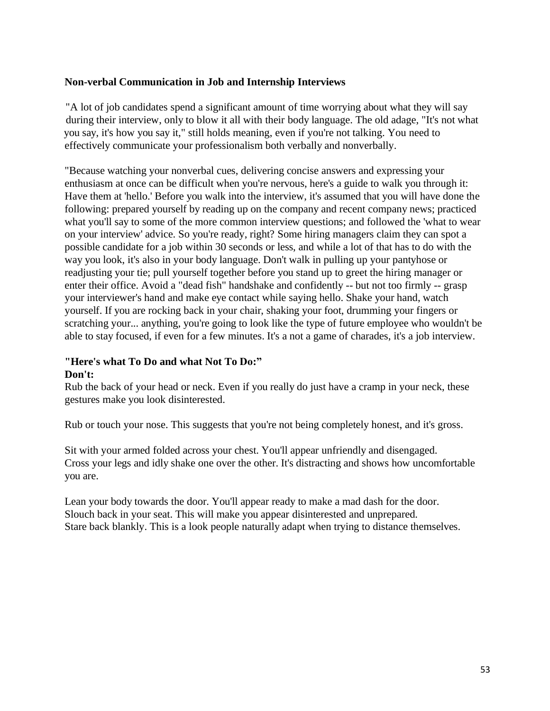# **Non-verbal Communication in Job and Internship Interviews**

"A lot of job candidates spend a significant amount of time worrying about what they will say during their interview, only to blow it all with their body language. The old adage, "It's not what you say, it's how you say it," still holds meaning, even if you're not talking. You need to effectively communicate your professionalism both verbally and nonverbally.

"Because watching your nonverbal cues, delivering concise answers and expressing your enthusiasm at once can be difficult when you're nervous, here's a guide to walk you through it: Have them at 'hello.' Before you walk into the interview, it's assumed that you will have done the following: prepared yourself by reading up on the company and recent company news; practiced what you'll say to some of the more common interview questions; and followed the 'what to wear on your interview' advice. So you're ready, right? Some hiring managers claim they can spot a possible candidate for a job within 30 seconds or less, and while a lot of that has to do with the way you look, it's also in your body language. Don't walk in pulling up your pantyhose or readjusting your tie; pull yourself together before you stand up to greet the hiring manager or enter their office. Avoid a "dead fish" handshake and confidently -- but not too firmly -- grasp your interviewer's hand and make eye contact while saying hello. Shake your hand, watch yourself. If you are rocking back in your chair, shaking your foot, drumming your fingers or scratching your... anything, you're going to look like the type of future employee who wouldn't be able to stay focused, if even for a few minutes. It's a not a game of charades, it's a job interview.

# **"Here's what To Do and what Not To Do:" Don't:**

Rub the back of your head or neck. Even if you really do just have a cramp in your neck, these gestures make you look disinterested.

Rub or touch your nose. This suggests that you're not being completely honest, and it's gross.

Sit with your armed folded across your chest. You'll appear unfriendly and disengaged. Cross your legs and idly shake one over the other. It's distracting and shows how uncomfortable you are.

Lean your body towards the door. You'll appear ready to make a mad dash for the door. Slouch back in your seat. This will make you appear disinterested and unprepared. Stare back blankly. This is a look people naturally adapt when trying to distance themselves.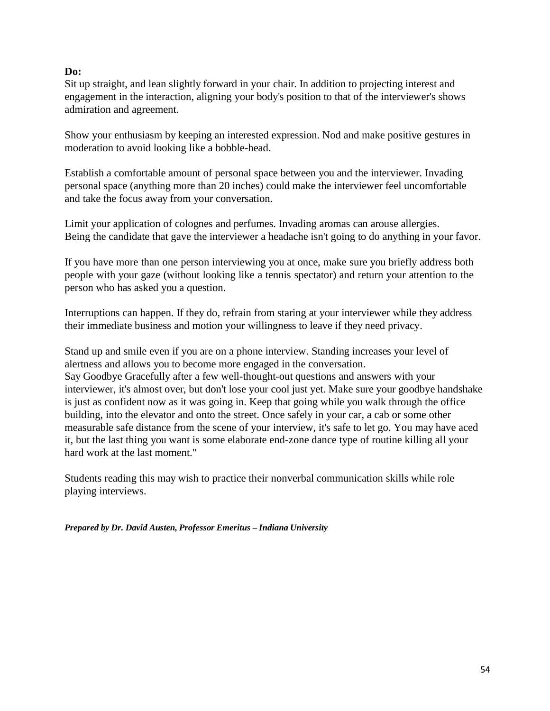# **Do:**

Sit up straight, and lean slightly forward in your chair. In addition to projecting interest and engagement in the interaction, aligning your body's position to that of the interviewer's shows admiration and agreement.

Show your enthusiasm by keeping an interested expression. Nod and make positive gestures in moderation to avoid looking like a bobble-head.

Establish a comfortable amount of personal space between you and the interviewer. Invading personal space (anything more than 20 inches) could make the interviewer feel uncomfortable and take the focus away from your conversation.

Limit your application of colognes and perfumes. Invading aromas can arouse allergies. Being the candidate that gave the interviewer a headache isn't going to do anything in your favor.

If you have more than one person interviewing you at once, make sure you briefly address both people with your gaze (without looking like a tennis spectator) and return your attention to the person who has asked you a question.

Interruptions can happen. If they do, refrain from staring at your interviewer while they address their immediate business and motion your willingness to leave if they need privacy.

Stand up and smile even if you are on a phone interview. Standing increases your level of alertness and allows you to become more engaged in the conversation.

Say Goodbye Gracefully after a few well-thought-out questions and answers with your interviewer, it's almost over, but don't lose your cool just yet. Make sure your goodbye handshake is just as confident now as it was going in. Keep that going while you walk through the office building, into the elevator and onto the street. Once safely in your car, a cab or some other measurable safe distance from the scene of your interview, it's safe to let go. You may have aced it, but the last thing you want is some elaborate end-zone dance type of routine killing all your hard work at the last moment."

Students reading this may wish to practice their nonverbal communication skills while role playing interviews.

*Prepared by Dr. David Austen, Professor Emeritus – Indiana University*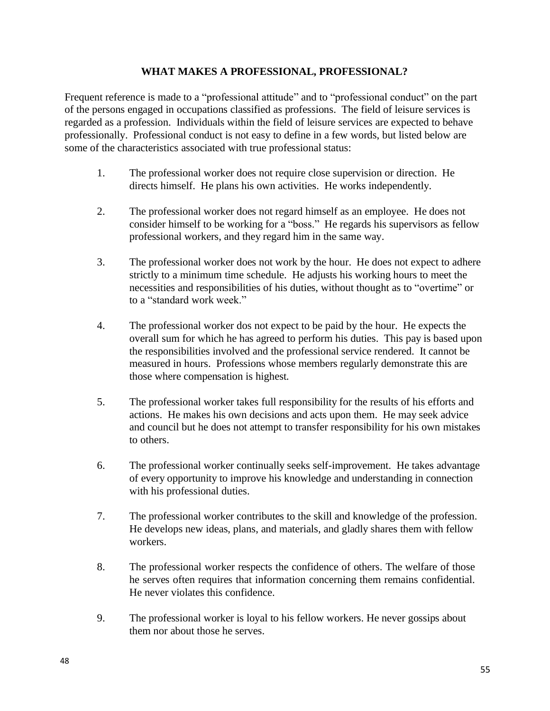# **WHAT MAKES A PROFESSIONAL, PROFESSIONAL?**

Frequent reference is made to a "professional attitude" and to "professional conduct" on the part of the persons engaged in occupations classified as professions. The field of leisure services is regarded as a profession. Individuals within the field of leisure services are expected to behave professionally. Professional conduct is not easy to define in a few words, but listed below are some of the characteristics associated with true professional status:

- 1. The professional worker does not require close supervision or direction. He directs himself. He plans his own activities. He works independently.
- 2. The professional worker does not regard himself as an employee. He does not consider himself to be working for a "boss." He regards his supervisors as fellow professional workers, and they regard him in the same way.
- 3. The professional worker does not work by the hour. He does not expect to adhere strictly to a minimum time schedule. He adjusts his working hours to meet the necessities and responsibilities of his duties, without thought as to "overtime" or to a "standard work week."
- 4. The professional worker dos not expect to be paid by the hour. He expects the overall sum for which he has agreed to perform his duties. This pay is based upon the responsibilities involved and the professional service rendered. It cannot be measured in hours. Professions whose members regularly demonstrate this are those where compensation is highest.
- 5. The professional worker takes full responsibility for the results of his efforts and actions. He makes his own decisions and acts upon them. He may seek advice and council but he does not attempt to transfer responsibility for his own mistakes to others.
- 6. The professional worker continually seeks self-improvement. He takes advantage of every opportunity to improve his knowledge and understanding in connection with his professional duties.
- 7. The professional worker contributes to the skill and knowledge of the profession. He develops new ideas, plans, and materials, and gladly shares them with fellow workers.
- 8. The professional worker respects the confidence of others. The welfare of those he serves often requires that information concerning them remains confidential. He never violates this confidence.
- 9. The professional worker is loyal to his fellow workers. He never gossips about them nor about those he serves.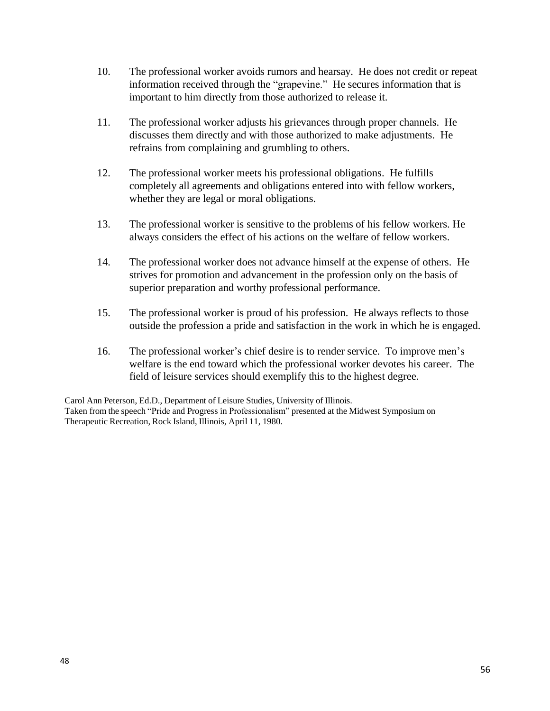- 10. The professional worker avoids rumors and hearsay. He does not credit or repeat information received through the "grapevine." He secures information that is important to him directly from those authorized to release it.
- 11. The professional worker adjusts his grievances through proper channels. He discusses them directly and with those authorized to make adjustments. He refrains from complaining and grumbling to others.
- 12. The professional worker meets his professional obligations. He fulfills completely all agreements and obligations entered into with fellow workers, whether they are legal or moral obligations.
- 13. The professional worker is sensitive to the problems of his fellow workers. He always considers the effect of his actions on the welfare of fellow workers.
- 14. The professional worker does not advance himself at the expense of others. He strives for promotion and advancement in the profession only on the basis of superior preparation and worthy professional performance.
- 15. The professional worker is proud of his profession. He always reflects to those outside the profession a pride and satisfaction in the work in which he is engaged.
- 16. The professional worker's chief desire is to render service. To improve men's welfare is the end toward which the professional worker devotes his career. The field of leisure services should exemplify this to the highest degree.

Carol Ann Peterson, Ed.D., Department of Leisure Studies, University of Illinois. Taken from the speech "Pride and Progress in Professionalism" presented at the Midwest Symposium on Therapeutic Recreation, Rock Island, Illinois, April 11, 1980.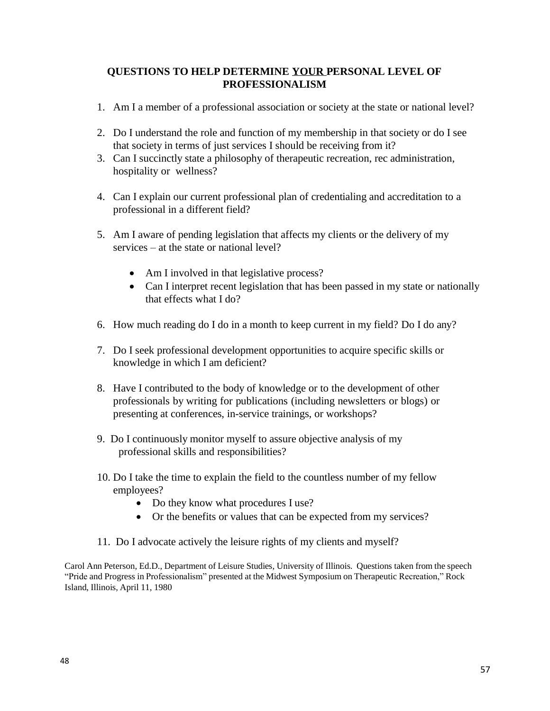# **QUESTIONS TO HELP DETERMINE YOUR PERSONAL LEVEL OF PROFESSIONALISM**

- 1. Am I a member of a professional association or society at the state or national level?
- 2. Do I understand the role and function of my membership in that society or do I see that society in terms of just services I should be receiving from it?
- 3. Can I succinctly state a philosophy of therapeutic recreation, rec administration, hospitality or wellness?
- 4. Can I explain our current professional plan of credentialing and accreditation to a professional in a different field?
- 5. Am I aware of pending legislation that affects my clients or the delivery of my services – at the state or national level?
	- Am I involved in that legislative process?
	- Can I interpret recent legislation that has been passed in my state or nationally that effects what I do?
- 6. How much reading do I do in a month to keep current in my field? Do I do any?
- 7. Do I seek professional development opportunities to acquire specific skills or knowledge in which I am deficient?
- 8. Have I contributed to the body of knowledge or to the development of other professionals by writing for publications (including newsletters or blogs) or presenting at conferences, in-service trainings, or workshops?
- 9. Do I continuously monitor myself to assure objective analysis of my professional skills and responsibilities?
- 10. Do I take the time to explain the field to the countless number of my fellow employees?
	- Do they know what procedures I use?
	- Or the benefits or values that can be expected from my services?
- 11. Do I advocate actively the leisure rights of my clients and myself?

Carol Ann Peterson, Ed.D., Department of Leisure Studies, University of Illinois. Questions taken from the speech "Pride and Progress in Professionalism" presented at the Midwest Symposium on Therapeutic Recreation," Rock Island, Illinois, April 11, 1980